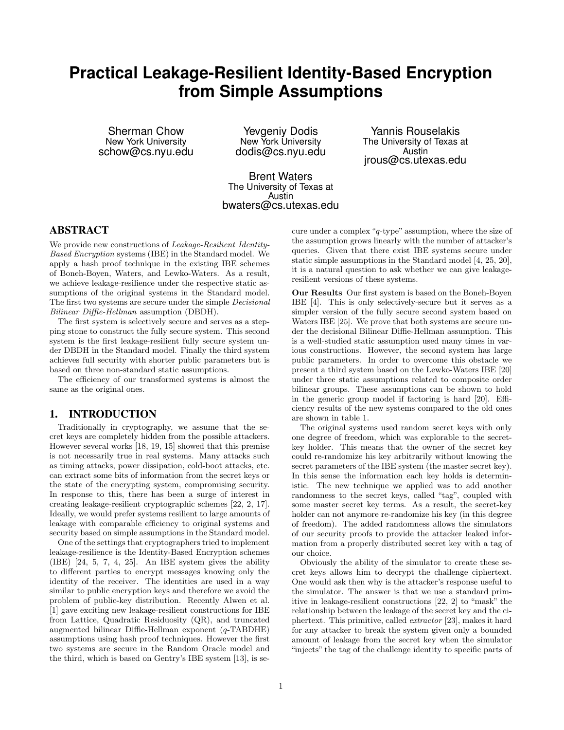# **Practical Leakage-Resilient Identity-Based Encryption from Simple Assumptions**

Sherman Chow New York University schow@cs.nyu.edu

Yevgeniy Dodis New York University dodis@cs.nyu.edu

Yannis Rouselakis The University of Texas at Austin jrous@cs.utexas.edu

Brent Waters The University of Texas at Austin bwaters@cs.utexas.edu

## ABSTRACT

We provide new constructions of *Leakage-Resilient Identity-*Based Encryption systems (IBE) in the Standard model. We apply a hash proof technique in the existing IBE schemes of Boneh-Boyen, Waters, and Lewko-Waters. As a result, we achieve leakage-resilience under the respective static assumptions of the original systems in the Standard model. The first two systems are secure under the simple Decisional Bilinear Diffie-Hellman assumption (DBDH).

The first system is selectively secure and serves as a stepping stone to construct the fully secure system. This second system is the first leakage-resilient fully secure system under DBDH in the Standard model. Finally the third system achieves full security with shorter public parameters but is based on three non-standard static assumptions.

The efficiency of our transformed systems is almost the same as the original ones.

## 1. INTRODUCTION

Traditionally in cryptography, we assume that the secret keys are completely hidden from the possible attackers. However several works [18, 19, 15] showed that this premise is not necessarily true in real systems. Many attacks such as timing attacks, power dissipation, cold-boot attacks, etc. can extract some bits of information from the secret keys or the state of the encrypting system, compromising security. In response to this, there has been a surge of interest in creating leakage-resilient cryptographic schemes [22, 2, 17]. Ideally, we would prefer systems resilient to large amounts of leakage with comparable efficiency to original systems and security based on simple assumptions in the Standard model.

One of the settings that cryptographers tried to implement leakage-resilience is the Identity-Based Encryption schemes (IBE) [24, 5, 7, 4, 25]. An IBE system gives the ability to different parties to encrypt messages knowing only the identity of the receiver. The identities are used in a way similar to public encryption keys and therefore we avoid the problem of public-key distribution. Recently Alwen et al. [1] gave exciting new leakage-resilient constructions for IBE from Lattice, Quadratic Residuosity (QR), and truncated augmented bilinear Diffie-Hellman exponent (q-TABDHE) assumptions using hash proof techniques. However the first two systems are secure in the Random Oracle model and the third, which is based on Gentry's IBE system [13], is secure under a complex "q-type" assumption, where the size of the assumption grows linearly with the number of attacker's queries. Given that there exist IBE systems secure under static simple assumptions in the Standard model [4, 25, 20], it is a natural question to ask whether we can give leakageresilient versions of these systems.

Our Results Our first system is based on the Boneh-Boyen IBE [4]. This is only selectively-secure but it serves as a simpler version of the fully secure second system based on Waters IBE [25]. We prove that both systems are secure under the decisional Bilinear Diffie-Hellman assumption. This is a well-studied static assumption used many times in various constructions. However, the second system has large public parameters. In order to overcome this obstacle we present a third system based on the Lewko-Waters IBE [20] under three static assumptions related to composite order bilinear groups. These assumptions can be shown to hold in the generic group model if factoring is hard [20]. Efficiency results of the new systems compared to the old ones are shown in table 1.

The original systems used random secret keys with only one degree of freedom, which was explorable to the secretkey holder. This means that the owner of the secret key could re-randomize his key arbitrarily without knowing the secret parameters of the IBE system (the master secret key). In this sense the information each key holds is deterministic. The new technique we applied was to add another randomness to the secret keys, called "tag", coupled with some master secret key terms. As a result, the secret-key holder can not anymore re-randomize his key (in this degree of freedom). The added randomness allows the simulators of our security proofs to provide the attacker leaked information from a properly distributed secret key with a tag of our choice.

Obviously the ability of the simulator to create these secret keys allows him to decrypt the challenge ciphertext. One would ask then why is the attacker's response useful to the simulator. The answer is that we use a standard primitive in leakage-resilient constructions [22, 2] to "mask" the relationship between the leakage of the secret key and the ciphertext. This primitive, called extractor [23], makes it hard for any attacker to break the system given only a bounded amount of leakage from the secret key when the simulator "injects" the tag of the challenge identity to specific parts of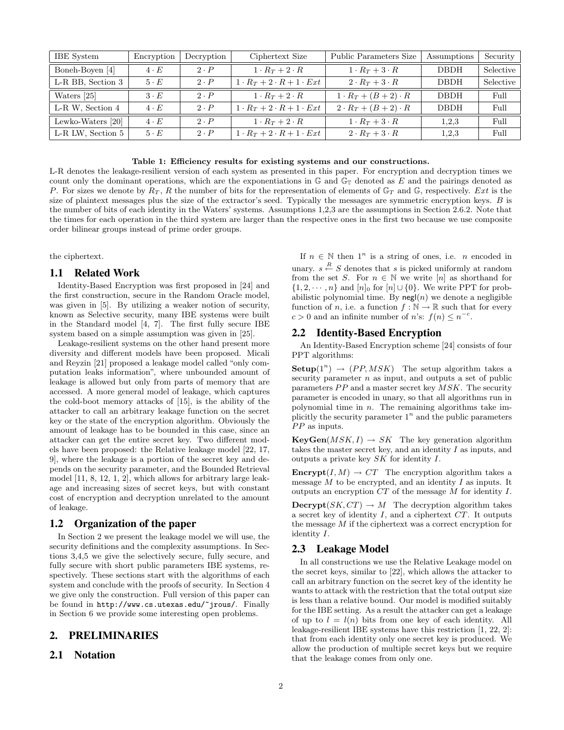| <b>IBE</b> System | Encryption  | Decryption  | Ciphertext Size                         | Public Parameters Size        | Assumptions | Security  |
|-------------------|-------------|-------------|-----------------------------------------|-------------------------------|-------------|-----------|
| Boneh-Boyen [4]   | $4 \cdot E$ | $2 \cdot P$ | $1 \cdot R_T + 2 \cdot R$               | $1 \cdot R_T + 3 \cdot R$     | <b>DBDH</b> | Selective |
| L-R BB, Section 3 | $5 \cdot E$ | $2 \cdot P$ | $1 \cdot R_T + 2 \cdot R + 1 \cdot Ext$ | $2 \cdot R_T + 3 \cdot R$     | <b>DBDH</b> | Selective |
| Waters [25]       | $3 \cdot E$ | $2 \cdot P$ | $1 \cdot R_T + 2 \cdot R$               | $1 \cdot R_T + (B+2) \cdot R$ | <b>DBDH</b> | Full      |
| L-R W, Section 4  | $4 \cdot E$ | $2 \cdot P$ | $1 \cdot R_T + 2 \cdot R + 1 \cdot Ext$ | $2 \cdot R_T + (B+2) \cdot R$ | <b>DBDH</b> | Full      |
| Lewko-Waters [20] | $4 \cdot E$ | $2 \cdot P$ | $1 \cdot R_T + 2 \cdot R$               | $1 \cdot R_T + 3 \cdot R$     | 1,2,3       | Full      |
| L-R LW, Section 5 | $5 \cdot E$ | $2 \cdot P$ | $1 \cdot R_T + 2 \cdot R + 1 \cdot Ext$ | $2 \cdot R_T + 3 \cdot R$     | 1,2,3       | Full      |

Table 1: Efficiency results for existing systems and our constructions.

L-R denotes the leakage-resilient version of each system as presented in this paper. For encryption and decryption times we count only the dominant operations, which are the exponentiations in  $\mathbb{G}$  and  $\mathbb{G}_T$  denoted as E and the pairings denoted as P. For sizes we denote by  $R_T$ , R the number of bits for the representation of elements of  $\mathbb{G}_T$  and  $\mathbb{G}$ , respectively. Ext is the size of plaintext messages plus the size of the extractor's seed. Typically the messages are symmetric encryption keys. B is the number of bits of each identity in the Waters' systems. Assumptions 1,2,3 are the assumptions in Section 2.6.2. Note that the times for each operation in the third system are larger than the respective ones in the first two because we use composite order bilinear groups instead of prime order groups.

the ciphertext.

## 1.1 Related Work

Identity-Based Encryption was first proposed in [24] and the first construction, secure in the Random Oracle model, was given in [5]. By utilizing a weaker notion of security, known as Selective security, many IBE systems were built in the Standard model [4, 7]. The first fully secure IBE system based on a simple assumption was given in [25].

Leakage-resilient systems on the other hand present more diversity and different models have been proposed. Micali and Reyzin [21] proposed a leakage model called "only computation leaks information", where unbounded amount of leakage is allowed but only from parts of memory that are accessed. A more general model of leakage, which captures the cold-boot memory attacks of [15], is the ability of the attacker to call an arbitrary leakage function on the secret key or the state of the encryption algorithm. Obviously the amount of leakage has to be bounded in this case, since an attacker can get the entire secret key. Two different models have been proposed: the Relative leakage model [22, 17, 9], where the leakage is a portion of the secret key and depends on the security parameter, and the Bounded Retrieval model [11, 8, 12, 1, 2], which allows for arbitrary large leakage and increasing sizes of secret keys, but with constant cost of encryption and decryption unrelated to the amount of leakage.

#### 1.2 Organization of the paper

In Section 2 we present the leakage model we will use, the security definitions and the complexity assumptions. In Sections 3,4,5 we give the selectively secure, fully secure, and fully secure with short public parameters IBE systems, respectively. These sections start with the algorithms of each system and conclude with the proofs of security. In Section 4 we give only the construction. Full version of this paper can be found in http://www.cs.utexas.edu/~jrous/. Finally in Section 6 we provide some interesting open problems.

## 2. PRELIMINARIES

# 2.1 Notation

If  $n \in \mathbb{N}$  then  $1^n$  is a string of ones, i.e. n encoded in unary.  $s \stackrel{R}{\leftarrow} S$  denotes that s is picked uniformly at random from the set S. For  $n \in \mathbb{N}$  we write [n] as shorthand for  $\{1, 2, \dots, n\}$  and  $[n]_0$  for  $[n] \cup \{0\}$ . We write PPT for probabilistic polynomial time. By  $\mathsf{negl}(n)$  we denote a negligible function of n, i.e. a function  $f : \mathbb{N} \to \mathbb{R}$  such that for every  $c > 0$  and an infinite number of *n*'s:  $f(n) \leq n^{-c}$ .

## 2.2 Identity-Based Encryption

An Identity-Based Encryption scheme [24] consists of four PPT algorithms:

**Setup**( $1^n$ )  $\rightarrow$  (*PP, MSK*) The setup algorithm takes a security parameter  $n$  as input, and outputs a set of public parameters  $PP$  and a master secret key  $MSK$ . The security parameter is encoded in unary, so that all algorithms run in polynomial time in  $n$ . The remaining algorithms take implicitly the security parameter  $1<sup>n</sup>$  and the public parameters  $PP$  as inputs.

 $KeyGen(MSK, I) \rightarrow SK$  The key generation algorithm takes the master secret key, and an identity I as inputs, and outputs a private key SK for identity I.

**Encrypt** $(I, M) \to CT$  The encryption algorithm takes a message  $\dot{M}$  to be encrypted, and an identity  $I$  as inputs. It outputs an encryption CT of the message M for identity I.

 $\textbf{Decrypt}(SK, CT) \rightarrow M$  The decryption algorithm takes a secret key of identity  $I$ , and a ciphertext  $CT$ . It outputs the message M if the ciphertext was a correct encryption for identity I.

#### 2.3 Leakage Model

In all constructions we use the Relative Leakage model on the secret keys, similar to [22], which allows the attacker to call an arbitrary function on the secret key of the identity he wants to attack with the restriction that the total output size is less than a relative bound. Our model is modified suitably for the IBE setting. As a result the attacker can get a leakage of up to  $l = l(n)$  bits from one key of each identity. All leakage-resilient IBE systems have this restriction [1, 22, 2]: that from each identity only one secret key is produced. We allow the production of multiple secret keys but we require that the leakage comes from only one.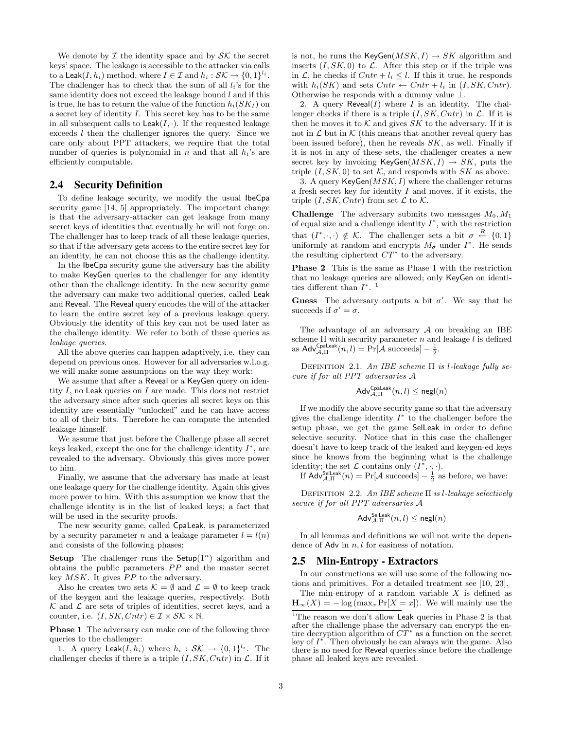We denote by  $\mathcal I$  the identity space and by  $\mathcal S\mathcal K$  the secret keys' space. The leakage is accessible to the attacker via calls to a Leak $(I, h_i)$  method, where  $I \in \mathcal{I}$  and  $h_i : \mathcal{SK} \to \{0, 1\}^{l_i}$ . The challenger has to check that the sum of all  $l_i$ 's for the same identity does not exceed the leakage bound  $l$  and if this is true, he has to return the value of the function  $h_i(SK_I)$  on a secret key of identity I. This secret key has to be the same in all subsequent calls to  $\textsf{Leak}(I, \cdot)$ . If the requested leakage exceeds l then the challenger ignores the query. Since we care only about PPT attackers, we require that the total number of queries is polynomial in n and that all  $h_i$ 's are efficiently computable.

## 2.4 Security Definition

To define leakage security, we modify the usual IbeCpa security game [14, 5] appropriately. The important change is that the adversary-attacker can get leakage from many secret keys of identities that eventually he will not forge on. The challenger has to keep track of all these leakage queries, so that if the adversary gets access to the entire secret key for an identity, he can not choose this as the challenge identity.

In the IbeCpa security game the adversary has the ability to make KeyGen queries to the challenger for any identity other than the challenge identity. In the new security game the adversary can make two additional queries, called Leak and Reveal. The Reveal query encodes the will of the attacker to learn the entire secret key of a previous leakage query. Obviously the identity of this key can not be used later as the challenge identity. We refer to both of these queries as leakage queries.

All the above queries can happen adaptively, i.e. they can depend on previous ones. However for all adversaries w.l.o.g. we will make some assumptions on the way they work:

We assume that after a Reveal or a KeyGen query on identity  $I$ , no Leak queries on  $I$  are made. This does not restrict the adversary since after such queries all secret keys on this identity are essentially "unlocked" and he can have access to all of their bits. Therefore he can compute the intended leakage himself.

We assume that just before the Challenge phase all secret keys leaked, except the one for the challenge identity  $I^*$ , are revealed to the adversary. Obviously this gives more power to him.

Finally, we assume that the adversary has made at least one leakage query for the challenge identity. Again this gives more power to him. With this assumption we know that the challenge identity is in the list of leaked keys; a fact that will be used in the security proofs.

The new security game, called CpaLeak, is parameterized by a security parameter n and a leakage parameter  $l = l(n)$ and consists of the following phases:

Setup The challenger runs the Setup $(1^n)$  algorithm and obtains the public parameters  $PP$  and the master secret key  $MSK$ . It gives  $PP$  to the adversary.

Also he creates two sets  $\mathcal{K} = \emptyset$  and  $\mathcal{L} = \emptyset$  to keep track of the keygen and the leakage queries, respectively. Both  $\mathcal K$  and  $\mathcal L$  are sets of triples of identities, secret keys, and a counter, i.e.  $(I, SK, Cart) \in \mathcal{I} \times \mathcal{SK} \times \mathbb{N}$ .

**Phase 1** The adversary can make one of the following three queries to the challenger:

1. A query Leak $(I, h_i)$  where  $h_i : \mathcal{SK} \to \{0, 1\}^{l_i}$ . The challenger checks if there is a triple  $(I, SK, Cntr)$  in  $\mathcal{L}$ . If it is not, he runs the KeyGen $(MSK, I) \rightarrow SK$  algorithm and inserts  $(I, SK, 0)$  to  $\mathcal{L}$ . After this step or if the triple was in  $\mathcal{L}$ , he checks if  $Cntr + l_i \leq l$ . If this it true, he responds with  $h_i(SK)$  and sets  $Cntr \leftarrow Cntr + l_i$  in  $(I, SK, Cntr)$ . Otherwise he responds with a dummy value ⊥.

2. A query  $\mathsf{Revea}(I)$  where I is an identity. The challenger checks if there is a triple  $(I, SK, Cntr)$  in  $\mathcal{L}$ . If it is then he moves it to  $K$  and gives SK to the adversary. If it is not in  $\mathcal L$  but in  $\mathcal K$  (this means that another reveal query has been issued before), then he reveals  $SK$ , as well. Finally if it is not in any of these sets, the challenger creates a new secret key by invoking KeyGen $(MSK, I) \rightarrow SK$ , puts the triple  $(I, SK, 0)$  to set K, and responds with SK as above.

3. A query  $KeyGen(MSK, I)$  where the challenger returns a fresh secret key for identity  $I$  and moves, if it exists, the triple  $(I, SK, Cart)$  from set  $\mathcal L$  to  $\mathcal K$ .

**Challenge** The adversary submits two messages  $M_0, M_1$ of equal size and a challenge identity  $I^*$ , with the restriction that  $(I^*, \cdot, \cdot) \notin \mathcal{K}$ . The challenger sets a bit  $\sigma \stackrel{R}{\leftarrow} \{0,1\}$ uniformly at random and encrypts  $M_{\sigma}$  under  $I^*$ . He sends the resulting ciphertext  $CT^*$  to the adversary.

Phase 2 This is the same as Phase 1 with the restriction that no leakage queries are allowed; only KeyGen on identities different than  $I^*$ .<sup>1</sup>

Guess The adversary outputs a bit  $\sigma'$ . We say that he succeeds if  $\sigma' = \sigma$ .

The advantage of an adversary  $A$  on breaking an IBE scheme  $\Pi$  with security parameter n and leakage  $l$  is defined as  $\mathsf{Adv}_{\mathcal{A},\Pi}^{\mathsf{Cpaleak}}(n,l) = \Pr[\mathcal{\hat{A}} \text{ succeeds}] - \frac{1}{2}.$ 

DEFINITION 2.1. An IBE scheme  $\Pi$  is l-leakage fully secure if for all PPT adversaries A

$$
\mathsf{Adv}_{\mathcal{A},\Pi}^{\mathsf{Cpaleak}}(n,l) \leq \mathsf{negl}(n)
$$

If we modify the above security game so that the adversary gives the challenge identity  $I^*$  to the challenger before the setup phase, we get the game SelLeak in order to define selective security. Notice that in this case the challenger doesn't have to keep track of the leaked and keygen-ed keys since he knows from the beginning what is the challenge identity; the set  $\mathcal L$  contains only  $(I^*, \cdot, \cdot)$ .

If  $\mathsf{Adv}_{\mathcal{A},\Pi}^{\mathsf{Selleak}}(n) = \Pr[\mathcal{A} \text{ succeeds}] - \frac{1}{2} \text{ as before, we have:}$ 

DEFINITION 2.2. An IBE scheme  $\Pi$  is *l*-leakage selectively secure if for all PPT adversaries A

$$
\mathsf{Adv}_{\mathcal{A},\Pi}^{\mathsf{Selleak}}(n,l) \leq \mathsf{negl}(n)
$$

In all lemmas and definitions we will not write the dependence of Adv in  $n, l$  for easiness of notation.

#### 2.5 Min-Entropy - Extractors

In our constructions we will use some of the following notions and primitives. For a detailed treatment see [10, 23].

The min-entropy of a random variable X is defined as 
$$
\mathbf{H}_{\infty}(X) = -\log(\max_x \Pr[X = x])
$$
. We will mainly use the

<sup>&</sup>lt;sup>1</sup>The reason we don't allow  ${\sf Leak}$  queries in Phase 2 is that after the challenge phase the adversary can encrypt the entire decryption algorithm of  $CT^*$  as a function on the secret key of  $I^*$ . Then obviously he can always win the game. Also there is no need for Reveal queries since before the challenge phase all leaked keys are revealed.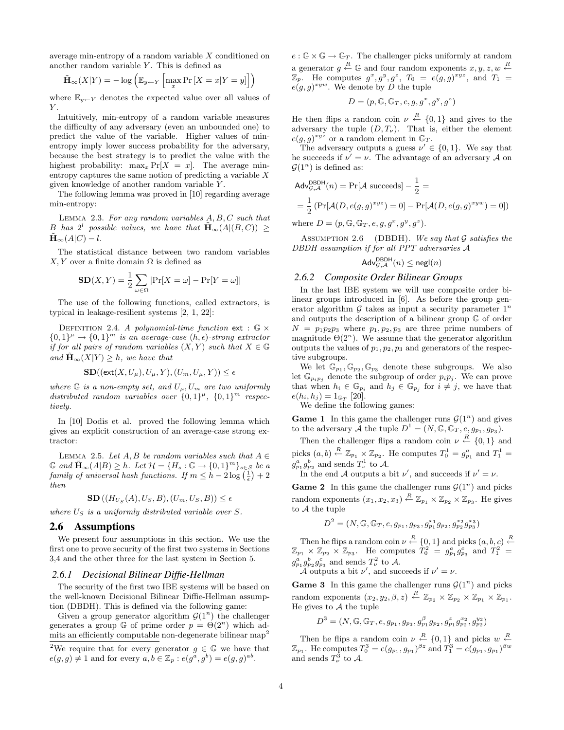average min-entropy of a random variable X conditioned on another random variable  $Y$ . This is defined as

$$
\tilde{\mathbf{H}}_{\infty}(X|Y) = -\log\left(\mathbb{E}_{y \leftarrow Y} \left[\max_{x} \Pr\left[X = x | Y = y\right]\right]\right)
$$

where  $\mathbb{E}_{y \leftarrow Y}$  denotes the expected value over all values of  $Y$ .

Intuitively, min-entropy of a random variable measures the difficulty of any adversary (even an unbounded one) to predict the value of the variable. Higher values of minentropy imply lower success probability for the adversary, because the best strategy is to predict the value with the highest probability:  $\max_x \Pr[X = x]$ . The average minentropy captures the same notion of predicting a variable X given knowledge of another random variable Y .

The following lemma was proved in [10] regarding average min-entropy:

Lemma 2.3. For any random variables A, B, C such that B has  $2^l$  possible values, we have that  $\tilde{\mathbf{H}}_{\infty}(A|(B,C)) \geq$  $\tilde{\mathbf{H}}_{\infty}(A|C) - l.$ 

The statistical distance between two random variables  $X, Y$  over a finite domain  $\Omega$  is defined as

$$
SD(X, Y) = \frac{1}{2} \sum_{\omega \in \Omega} |Pr[X = \omega] - Pr[Y = \omega]|
$$

The use of the following functions, called extractors, is typical in leakage-resilient systems [2, 1, 22]:

DEFINITION 2.4. A polynomial-time function ext :  $\mathbb{G} \times$  ${0,1}^{\mu} \rightarrow {0,1}^{m}$  is an average-case  $(h, \epsilon)$ -strong extractor if for all pairs of random variables  $(X, Y)$  such that  $X \in \mathbb{G}$ and  $\mathbf{H}_{\infty}(X|Y) > h$ , we have that

$$
\mathbf{SD}((\mathsf{ext}(X, U_{\mu}), U_{\mu}, Y), (U_{m}, U_{\mu}, Y)) \le \epsilon
$$

where  $\mathbb G$  is a non-empty set, and  $U_\mu, U_m$  are two uniformly distributed random variables over  $\{0,1\}^{\mu}$ ,  $\{0,1\}^m$  respectively.

In [10] Dodis et al. proved the following lemma which gives an explicit construction of an average-case strong extractor:

LEMMA 2.5. Let  $A, B$  be random variables such that  $A \in$  $\mathbb{G}$  and  $\tilde{\mathbf{H}}_{\infty}(A|B) \geq h$ . Let  $\mathcal{H} = \{H_s : \mathbb{G} \to \{0,1\}^m\}_{s \in S}$  be a  $family~of~universal~hash~functions.~If~m \leq h - 2 \log \left(\frac{1}{\epsilon}\right) + 2$ then

$$
\mathbf{SD}\left((H_{U_S}(A),U_S,B),(U_m,U_S,B)\right) \le \epsilon
$$

where  $U_S$  is a uniformly distributed variable over  $S$ .

#### 2.6 Assumptions

We present four assumptions in this section. We use the first one to prove security of the first two systems in Sections 3,4 and the other three for the last system in Section 5.

#### *2.6.1 Decisional Bilinear Diffie-Hellman*

The security of the first two IBE systems will be based on the well-known Decisional Bilinear Diffie-Hellman assumption (DBDH). This is defined via the following game:

Given a group generator algorithm  $\mathcal{G}(1^n)$  the challenger generates a group G of prime order  $p = \Theta(2^n)$  which admits an efficiently computable non-degenerate bilinear map<sup>2</sup>  $e : \mathbb{G} \times \mathbb{G} \to \mathbb{G}_T$ . The challenger picks uniformly at random a generator  $g \stackrel{R}{\leftarrow} \mathbb{G}$  and four random exponents  $x, y, z, w \stackrel{R}{\leftarrow}$  $\mathbb{Z}_p$ . He computes  $g^x, g^y, g^z$ ,  $T_0 = e(g, g)^{xyz}$ , and  $T_1 =$  $e(g,g)^{xyw}$ . We denote by D the tuple

$$
D = (p, \mathbb{G}, \mathbb{G}_T, e, g, g^x, g^y, g^z)
$$

He then flips a random coin  $\nu \stackrel{R}{\leftarrow} \{0,1\}$  and gives to the adversary the tuple  $(D, T_{\nu})$ . That is, either the element  $e(g,g)^{xyz}$  or a random element in  $\mathbb{G}_T$ .

The adversary outputs a guess  $\nu' \in \{0, 1\}$ . We say that he succeeds if  $\nu' = \nu$ . The advantage of an adversary A on  $\mathcal{G}(1^n)$  is defined as:

$$
Adv_{\mathcal{G},\mathcal{A}}^{\text{DBDH}}(n) = \Pr[\mathcal{A} \text{ succeeds}] - \frac{1}{2} =
$$
  
=  $\frac{1}{2} \left( \Pr[\mathcal{A}(D, e(g, g)^{xyz}) = 0] - \Pr[\mathcal{A}(D, e(g, g)^{xyw}) = 0] \right)$   
where  $D = (p, \mathbb{G}, \mathbb{G}_T, e, g, g^x, g^y, g^z).$ 

ASSUMPTION 2.6 (DBDH). We say that  $G$  satisfies the DBDH assumption if for all PPT adversaries A

$$
\mathsf{Adv}_{\mathcal{G},\mathcal{A}}^{\mathsf{DBDH}}(n) \leq \mathsf{negl}(n)
$$

#### *2.6.2 Composite Order Bilinear Groups*

In the last IBE system we will use composite order bilinear groups introduced in [6]. As before the group generator algorithm  $G$  takes as input a security parameter  $1^n$ and outputs the description of a bilinear group G of order  $N = p_1p_2p_3$  where  $p_1, p_2, p_3$  are three prime numbers of magnitude  $\Theta(2^n)$ . We assume that the generator algorithm outputs the values of  $p_1, p_2, p_3$  and generators of the respective subgroups.

We let  $\mathbb{G}_{p_1}, \mathbb{G}_{p_2}, \mathbb{G}_{p_3}$  denote these subgroups. We also let  $\mathbb{G}_{p_i p_j}$  denote the subgroup of order  $p_i p_j$ . We can prove that when  $h_i \in \mathbb{G}_{p_i}$  and  $h_j \in \mathbb{G}_{p_j}$  for  $i \neq j$ , we have that  $e(h_i, h_j) = 1_{\mathbb{G}_T}$  [20].

We define the following games:

**Game 1** In this game the challenger runs  $\mathcal{G}(1^n)$  and gives to the adversary  $\tilde{A}$  the tuple  $D^1 = (N, \mathbb{G}, \mathbb{G}_T, e, g_{p_1}, g_{p_3}).$ 

Then the challenger flips a random coin  $\nu \stackrel{R}{\leftarrow} \{0,1\}$  and picks  $(a, b) \stackrel{R}{\leftarrow} \mathbb{Z}_{p_1} \times \mathbb{Z}_{p_2}$ . He computes  $T_0^1 = g_{p_1}^a$  and  $T_1^1 =$  $g_{p_1}^a g_{p_2}^b$  and sends  $T^1_\nu$  to A.

In the end A outputs a bit  $\nu'$ , and succeeds if  $\nu' = \nu$ .

**Game 2** In this game the challenger runs  $\mathcal{G}(1^n)$  and picks random exponents  $(x_1, x_2, x_3) \stackrel{R}{\leftarrow} \mathbb{Z}_{p_1} \times \mathbb{Z}_{p_2} \times \mathbb{Z}_{p_3}$ . He gives to A the tuple

$$
D^{2} = (N, \mathbb{G}, \mathbb{G}_{T}, e, g_{p_{1}}, g_{p_{3}}, g_{p_{1}}^{x_{1}}g_{p_{2}}, g_{p_{2}}^{x_{2}}g_{p_{3}}^{x_{3}})
$$

Then he flips a random coin  $\nu \stackrel{R}{\leftarrow} \{0,1\}$  and picks  $(a, b, c) \stackrel{R}{\leftarrow}$  $\mathbb{Z}_{p_1} \times \mathbb{Z}_{p_2} \times \mathbb{Z}_{p_3}$ . He computes  $\tilde{T}_0^2 = g_{p_1}^a g_{p_3}^c$  and  $T_1^2$  $g_{p_1}^a g_{p_2}^b g_{p_3}^c$  and sends  $T_\nu^2$  to A.

A outputs a bit  $\nu'$ , and succeeds if  $\nu' = \nu$ .

**Game 3** In this game the challenger runs  $\mathcal{G}(1^n)$  and picks random exponents  $(x_2, y_2, \beta, z) \stackrel{R}{\leftarrow} \mathbb{Z}_{p_2} \times \mathbb{Z}_{p_2} \times \mathbb{Z}_{p_1} \times \mathbb{Z}_{p_1}$ . He gives to  $A$  the tuple

$$
D^{3} = (N, \mathbb{G}, \mathbb{G}_{T}, e, g_{p_{1}}, g_{p_{3}}, g_{p_{1}}^{\beta}g_{p_{2}}, g_{p_{1}}^{z}g_{p_{2}}^{x_{2}}, g_{p_{2}}^{y_{2}})
$$

Then he flips a random coin  $\nu \stackrel{R}{\leftarrow} \{0,1\}$  and picks  $w \stackrel{R}{\leftarrow}$  $\mathbb{Z}_{p_1}$ . He computes  $T_0^3 = e(g_{p_1}, g_{p_1})^{\beta z}$  and  $T_1^3 = e(g_{p_1}, g_{p_1})^{\beta w}$ and sends  $T_{\nu}^3$  to A.

<sup>&</sup>lt;sup>2</sup>We require that for every generator  $g \in \mathbb{G}$  we have that  $e(g,g) \neq 1$  and for every  $a,b \in \mathbb{Z}_p : e(g^{\overline{a}}, g^{\overline{b}}) = e(g,g)^{ab}$ .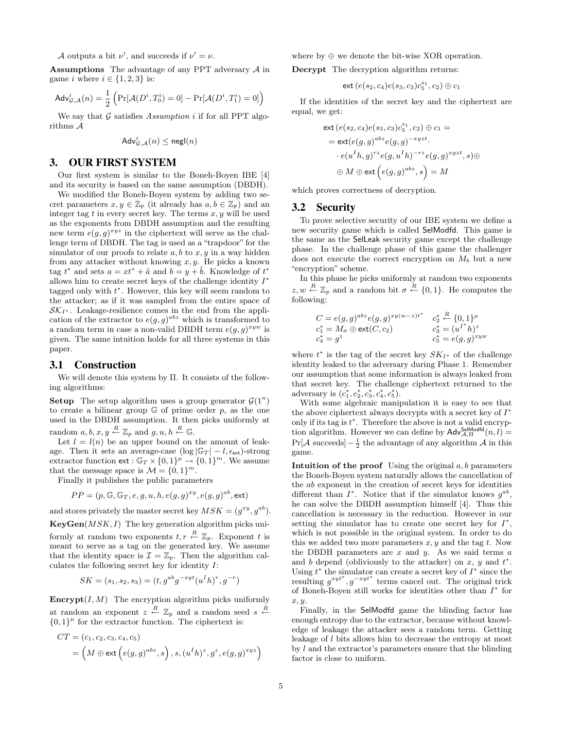A outputs a bit  $\nu'$ , and succeeds if  $\nu' = \nu$ .

Assumptions The advantage of any PPT adversary A in game i where  $i \in \{1, 2, 3\}$  is:

$$
\mathsf{Adv}^i_{\mathcal{G},\mathcal{A}}(n) = \frac{1}{2} \left( \Pr[\mathcal{A}(D^i, T_0^i) = 0] - \Pr[\mathcal{A}(D^i, T_1^i) = 0] \right)
$$

We say that  $G$  satisfies Assumption i if for all PPT algorithms A

$$
\mathsf{Adv}^i_{\mathcal{G}, \mathcal{A}}(n) \leq \mathsf{negl}(n)
$$

# 3. OUR FIRST SYSTEM

Our first system is similar to the Boneh-Boyen IBE [4] and its security is based on the same assumption (DBDH).

We modified the Boneh-Boyen system by adding two secret parameters  $x, y \in \mathbb{Z}_p$  (it already has  $a, b \in \mathbb{Z}_p$ ) and an integer tag  $t$  in every secret key. The terms  $x, y$  will be used as the exponents from DBDH assumption and the resulting new term  $e(g, g)^{xyz}$  in the ciphertext will serve as the challenge term of DBDH. The tag is used as a "trapdoor" for the simulator of our proofs to relate  $a, b$  to  $x, y$  in a way hidden from any attacker without knowing  $x, y$ . He picks a known tag  $t^*$  and sets  $a = xt^* + \tilde{a}$  and  $b = y + \tilde{b}$ . Knowledge of  $t^*$ allows him to create secret keys of the challenge identity  $I^*$ tagged only with  $t^*$ . However, this key will seem random to the attacker; as if it was sampled from the entire space of  $\mathcal{SK}_{I^*}$ . Leakage-resilience comes in the end from the application of the extractor to  $e(g,g)^{abz}$  which is transformed to a random term in case a non-valid DBDH term  $e(g, g)^{xyw}$  is given. The same intuition holds for all three systems in this paper.

## 3.1 Construction

We will denote this system by Π. It consists of the following algorithms:

**Setup** The setup algorithm uses a group generator  $\mathcal{G}(1^n)$ to create a bilinear group  $G$  of prime order  $p$ , as the one used in the DBDH assumption. It then picks uniformly at random  $a, b, x, y \stackrel{R}{\leftarrow} \mathbb{Z}_p$  and  $g, u, h \stackrel{R}{\leftarrow} \mathbb{G}$ .

Let  $l = l(n)$  be an upper bound on the amount of leakage. Then it sets an average-case  $(\log |\mathbb{G}_T| - l, \epsilon_{\text{ext}})$ -strong extractor function  $ext{\text{ext}}: \mathbb{G}_T \times \{0,1\}^{\mu} \to \{0,1\}^m$ . We assume that the message space is  $\mathcal{M} = \{0, 1\}^m$ .

Finally it publishes the public parameters

$$
PP = (p, \mathbb{G}, \mathbb{G}_T, e, g, u, h, e(g, g)^{xy}, e(g, g)^{ab}, \text{ext})
$$

and stores privately the master secret key  $MSK = (g^{xy}, g^{ab})$ .

 $KeyGen(MSK, I)$  The key generation algorithm picks uniformly at random two exponents  $t, r \stackrel{R}{\leftarrow} \mathbb{Z}_p$ . Exponent t is meant to serve as a tag on the generated key. We assume that the identity space is  $\mathcal{I} = \mathbb{Z}_p$ . Then the algorithm calculates the following secret key for identity  $I$ :

$$
SK = (s_1, s_2, s_3) = (t, g^{ab}g^{-xyt}(u^I h)^r, g^{-r})
$$

**Encrypt** $(I, M)$  The encryption algorithm picks uniformly at random an exponent  $z \stackrel{R}{\leftarrow} \mathbb{Z}_p$  and a random seed  $s \stackrel{R}{\leftarrow}$  ${0,1}^{\mu}$  for the extractor function. The ciphertext is:

$$
CT = (c_1, c_2, c_3, c_4, c_5)
$$
  
=  $(M \oplus ext(e(g, g)^{abz}, s), (u^I h)^z, g^z, e(g, g)^{xyz})$ 

where by  $\oplus$  we denote the bit-wise XOR operation.

Decrypt The decryption algorithm returns:

$$
{\sf ext}\,(e(s_2,c_4)e(s_3,c_3)c_5^{s_1},c_2)\oplus c_1
$$

If the identities of the secret key and the ciphertext are equal, we get:

$$
\operatorname{ext}(e(s_2, c_4)e(s_3, c_3)c_5^{s_1}, c_2) \oplus c_1 =
$$
\n
$$
= \operatorname{ext}(e(g, g)^{abz}e(g, g)^{-xyzt}.
$$
\n
$$
\cdot e(u^I h, g)^{rz}e(g, u^I h)^{-rz}e(g, g)^{xyzt}, s) \oplus
$$
\n
$$
\oplus M \oplus \operatorname{ext}(e(g, g)^{abz}, s) = M
$$

which proves correctness of decryption.

## 3.2 Security

To prove selective security of our IBE system we define a new security game which is called SelModfd. This game is the same as the SelLeak security game except the challenge phase. In the challenge phase of this game the challenger does not execute the correct encryption on  $M_b$  but a new "encryption" scheme.

In this phase he picks uniformly at random two exponents  $z, w \stackrel{R}{\leftarrow} \mathbb{Z}_p$  and a random bit  $\sigma \stackrel{R}{\leftarrow} \{0,1\}$ . He computes the following:

$$
C = e(g, g)^{abz} e(g, g)^{xy(w-z)t^*} \quad c_2^* \stackrel{R}{\leftarrow} \{0, 1\}^\mu
$$
  
\n
$$
c_1^* = M_\sigma \oplus \text{ext}(C, c_2) \qquad c_3^* = (u^{I^*} h)^z
$$
  
\n
$$
c_4^* = g^z \qquad c_5^* = e(g, g)^{xyw}
$$

where  $t^*$  is the tag of the secret key  $SK_{I^*}$  of the challenge identity leaked to the adversary during Phase 1. Remember our assumption that some information is always leaked from that secret key. The challenge ciphertext returned to the adversary is  $(c_1^*, c_2^*, c_3^*, c_4^*, c_5^*)$ .

With some algebraic manipulation it is easy to see that the above ciphertext always decrypts with a secret key of  $I^*$ only if its tag is  $t^*$ . Therefore the above is not a valid encryption algorithm. However we can define by  $\mathsf{Adv}_{\mathcal{A},\Pi}^{\mathsf{SelModfd}}(n,l)$  =  $Pr[\mathcal{A} \text{ succeeds}] - \frac{1}{2}$  the advantage of any algorithm  $\mathcal{A}$  in this game.

Intuition of the proof Using the original  $a, b$  parameters the Boneh-Boyen system naturally allows the cancellation of the ab exponent in the creation of secret keys for identities different than  $I^*$ . Notice that if the simulator knows  $g^{ab}$ , he can solve the DBDH assumption himself [4]. Thus this cancellation is necessary in the reduction. However in our setting the simulator has to create one secret key for  $I^*$ , which is not possible in the original system. In order to do this we added two more parameters  $x, y$  and the tag  $t$ . Now the DBDH parameters are  $x$  and  $y$ . As we said terms  $a$ and b depend (obliviously to the attacker) on  $x, y$  and  $t^*$ . Using  $t^*$  the simulator can create a secret key of  $I^*$  since the resulting  $g^{xyt^*}, g^{-xyt^*}$  terms cancel out. The original trick of Boneh-Boyen still works for identities other than  $I^*$  for x, y.

Finally, in the SelModfd game the blinding factor has enough entropy due to the extractor, because without knowledge of leakage the attacker sees a random term. Getting leakage of l bits allows him to decrease the entropy at most by l and the extractor's parameters ensure that the blinding factor is close to uniform.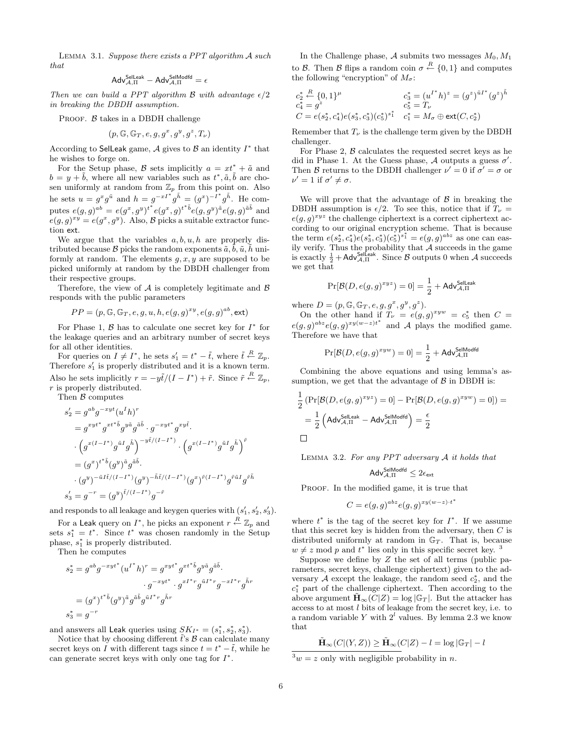Lemma 3.1. Suppose there exists a PPT algorithm A such that

$$
\mathsf{Adv}_{\mathcal{A},\Pi}^{\mathsf{SelLeak}}-\mathsf{Adv}_{\mathcal{A},\Pi}^{\mathsf{SelModfd}}=\epsilon
$$

Then we can build a PPT algorithm  $\beta$  with advantage  $\epsilon/2$ in breaking the DBDH assumption.

PROOF.  $\beta$  takes in a DBDH challenge

$$
(p, \mathbb{G}, \mathbb{G}_T, e, g, g^x, g^y, g^z, T_\nu)
$$

According to Selleak game, A gives to  $\beta$  an identity  $I^*$  that he wishes to forge on.

For the Setup phase, B sets implicitly  $a = xt^* + \tilde{a}$  and  $b = y + \tilde{b}$ , where all new variables such as  $t^*, \tilde{a}, \tilde{b}$  are chosen uniformly at random from  $\mathbb{Z}_p$  from this point on. Also he sets  $u = g^x g^{\tilde{u}}$  and  $h = g^{-xI^*} g^{\tilde{h}} = (g^x)^{-I^*} g^{\tilde{h}}$ . He computes  $e(g, g)^{ab} = e(g^x, g^y)^{t^*} e(g^x, g)^{t^*b} e(g, g^y)^{\tilde{a}} e(g, g)^{\tilde{a}\tilde{b}}$  and  $e(g,g)^{xy} = e(g^x, g^y)$ . Also, B picks a suitable extractor function ext.

We argue that the variables  $a, b, u, h$  are properly distributed because  $\mathcal B$  picks the random exponents  $\tilde{a}, b, \tilde{u}, h$  uniformly at random. The elements  $g, x, y$  are supposed to be picked uniformly at random by the DBDH challenger from their respective groups.

Therefore, the view of  $A$  is completely legitimate and  $B$ responds with the public parameters

$$
PP = (p, \mathbb{G}, \mathbb{G}_T, e, g, u, h, e(g, g)^{xy}, e(g, g)^{ab}, \text{ext})
$$

For Phase 1,  $\beta$  has to calculate one secret key for  $I^*$  for the leakage queries and an arbitrary number of secret keys for all other identities.

For queries on  $I \neq I^*$ , he sets  $s'_1 = t^* - \tilde{t}$ , where  $\tilde{t} \stackrel{R}{\leftarrow} \mathbb{Z}_p$ . Therefore  $s'_1$  is properly distributed and it is a known term. Also he sets implicitly  $r = -y\tilde{t}/(I - I^*) + \tilde{r}$ . Since  $\tilde{r} \stackrel{R}{\leftarrow} \mathbb{Z}_p$ , r is properly distributed.

Then  $\beta$  computes

$$
\begin{split} s_2' & = g^{ab}g^{-xyt}(u^I h)^r \\ & = g^{xyt^*}g^{xt^*\tilde{b}}g^{y\tilde{a}}g^{\tilde{a}\tilde{b}}\cdot g^{-xyt^*}g^{xy\tilde{t}}. \\ & \cdot \left(g^{x(I-I^*)}g^{\tilde{u}I}g^{\tilde{h}}\right)^{-y\tilde{t}/(I-I^*)}\cdot \left(g^{x(I-I^*)}g^{\tilde{u}I}g^{\tilde{h}}\right)^{\tilde{r}} \\ & = (g^x)^{t^*\tilde{b}}(g^y)^{\tilde{a}}g^{\tilde{a}\tilde{b}}. \\ & \cdot (g^y)^{-\tilde{u}I\tilde{t}/(I-I^*)}(g^y)^{-\tilde{h}\tilde{t}/(I-I^*)}(g^x)^{\tilde{r}(I-I^*)}g^{\tilde{r}\tilde{u}I}g^{\tilde{r}\tilde{h}} \\ s_3' & = g^{-r} = (g^y)^{\tilde{t}/(I-I^*)}g^{-\tilde{r}} \end{split}
$$

and responds to all leakage and keygen queries with  $(s'_1, s'_2, s'_3)$ .

For a Leak query on  $I^*$ , he picks an exponent  $r \stackrel{R}{\leftarrow} \mathbb{Z}_p$  and sets  $s_1^* = t^*$ . Since  $t^*$  was chosen randomly in the Setup phase,  $s_1^*$  is properly distributed.

Then he computes

$$
s_2^* = g^{ab}g^{-xyt^*}(u^{I^*}h)^r = g^{xyt^*}g^{xt^*\tilde{b}}g^{y\tilde{a}}g^{\tilde{a}\tilde{b}}.
$$
  

$$
g^{-xyt^*} \cdot g^{xt^*r}g^{\tilde{u}I^*r}g^{-xt^*r}g^{\tilde{h}r}
$$
  

$$
= (g^x)^{t^*\tilde{b}}(g^y)^{\tilde{a}}g^{\tilde{a}\tilde{b}}g^{\tilde{u}I^*r}\tilde{g}^{\tilde{h}r}
$$
  

$$
s_3^* = g^{-r}
$$

and answers all Leak queries using  $SK_{I^*} = (s_1^*, s_2^*, s_3^*)$ .

Notice that by choosing different  $\tilde{t}$ 's  $\beta$  can calculate many secret keys on I with different tags since  $t = t^* - \tilde{t}$ , while he can generate secret keys with only one tag for  $I^*$ .

In the Challenge phase,  $A$  submits two messages  $M_0, M_1$ to B. Then B flips a random coin  $\sigma \stackrel{R}{\leftarrow} \{0,1\}$  and computes the following "encryption" of  $M_{\sigma}$ :

$$
c_2^* \stackrel{R}{\sim} \{0,1\}^\mu
$$
  
\n
$$
c_4^* = g^2
$$
  
\n
$$
c_5^* = T_\nu
$$
  
\n
$$
c_6^* = T_\nu
$$
  
\n
$$
c_7^* = (g^z)^{\tilde{u}I^*}(g^z)^{\tilde{h}}
$$
  
\n
$$
c_8^* = T_\nu
$$
  
\n
$$
c_9^* = (g^z)^{\tilde{u}I^*}(g^z)^{\tilde{h}}
$$

Remember that  $T_{\nu}$  is the challenge term given by the DBDH challenger.

For Phase 2,  $\beta$  calculates the requested secret keys as he did in Phase 1. At the Guess phase, A outputs a guess  $\sigma'$ . Then B returns to the DBDH challenger  $\nu' = 0$  if  $\sigma' = \sigma$  or  $\nu' = 1$  if  $\sigma' \neq \sigma$ .

We will prove that the advantage of  $\beta$  in breaking the DBDH assumption is  $\epsilon/2$ . To see this, notice that if  $T_{\nu} =$  $e(g, g)^{xyz}$  the challenge ciphertext is a correct ciphertext according to our original encryption scheme. That is because the term  $e(s_2^*, c_4^*)e(s_3^*, c_3^*)(c_5^*)^{s_1^*} = e(g, g)^{abz}$  as one can easily verify. Thus the probability that  $A$  succeeds in the game is exactly  $\frac{1}{2} + \mathsf{Adv}_{\mathcal{A},\Pi}^{\mathsf{SelfLeak}}$ . Since  $\mathcal B$  outputs 0 when  $\mathcal A$  succeeds we get that

$$
\Pr[\mathcal{B}(D, e(g, g)^{xyz}) = 0] = \frac{1}{2} + \mathsf{Adv}_{\mathcal{A}, \Pi}^{\mathsf{Selleak}}
$$

where  $D = (p, \mathbb{G}, \mathbb{G}_T, e, g, g^x, g^y, g^z).$ 

On the other hand if  $T_{\nu} = e(g, g)^{xyw} = c_5^*$  then  $C =$  $e(g,g)^{abz}e(g,g)^{xy(w-z)t^*}$  and A plays the modified game. Therefore we have that

$$
Pr[\mathcal{B}(D, e(g, g)^{xyw}) = 0] = \frac{1}{2} + \mathsf{Adv}_{\mathcal{A}, \Pi}^{\mathsf{SelModfd}}
$$

Combining the above equations and using lemma's assumption, we get that the advantage of  $\beta$  in DBDH is:

$$
\frac{1}{2} \left( \Pr[\mathcal{B}(D, e(g, g)^{xyz}) = 0] - \Pr[\mathcal{B}(D, e(g, g)^{xyw}) = 0] \right) =
$$
\n
$$
= \frac{1}{2} \left( \text{Adv}_{\mathcal{A}, \Pi}^{\text{SelLeak}} - \text{Adv}_{\mathcal{A}, \Pi}^{\text{SelLeak}} \right) = \frac{\epsilon}{2}
$$

LEMMA 3.2. For any PPT adversary  $A$  it holds that

$$
\mathrm{Adv}_{\mathcal{A},\Pi}^{\mathrm{SelModfd}} \leq 2\epsilon_{\mathrm{ext}}
$$

PROOF. In the modified game, it is true that

$$
C = e(g,g)^{abz} e(g,g)^{xy(w-z) \cdot t^*}
$$

where  $t^*$  is the tag of the secret key for  $I^*$ . If we assume that this secret key is hidden from the adversary, then  $C$  is distributed uniformly at random in  $\mathbb{G}_T$ . That is, because  $w \neq z \mod p$  and  $t^*$  lies only in this specific secret key.<sup>3</sup>

Suppose we define by  $Z$  the set of all terms (public parameters, secret keys, challenge ciphertext) given to the adversary  $A$  except the leakage, the random seed  $c_2^*$ , and the  $c_1^*$  part of the challenge ciphertext. Then according to the above argument  $\tilde{\mathbf{H}}_{\infty}(C|Z) = \log |\mathbb{G}_T|$ . But the attacker has access to at most l bits of leakage from the secret key, i.e. to a random variable Y with  $2<sup>l</sup>$  values. By lemma 2.3 we know that

$$
\tilde{\mathbf{H}}_{\infty}(C|(Y,Z)) \ge \tilde{\mathbf{H}}_{\infty}(C|Z) - l = \log |\mathbb{G}_T| - l
$$

 $3w = z$  only with negligible probability in n.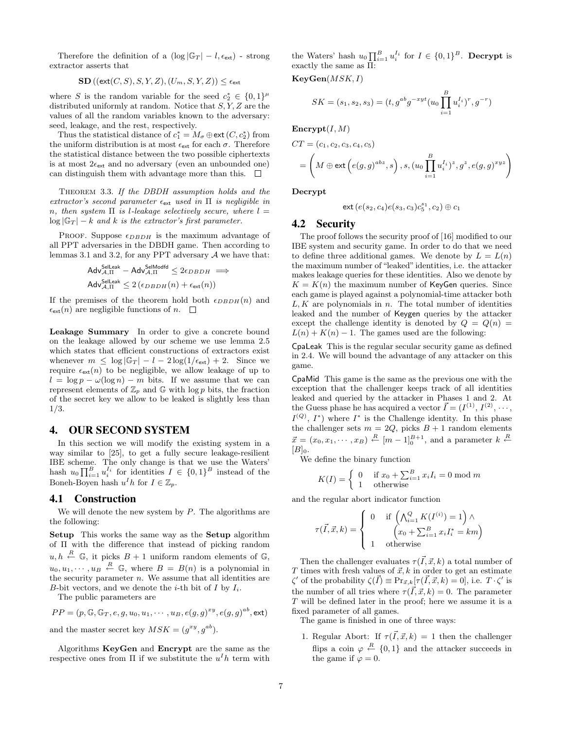Therefore the definition of a  $(\log |\mathbb{G}_T| - l, \epsilon_{\text{ext}})$  - strong extractor asserts that

$$
\mathbf{SD}\left((\mathsf{ext}(C,S),S,Y,Z),(U_m,S,Y,Z)\right) \leq \epsilon_{\mathsf{ext}}
$$

where S is the random variable for the seed  $c_2^* \in \{0,1\}^{\mu}$ distributed uniformly at random. Notice that  $S, Y, Z$  are the values of all the random variables known to the adversary: seed, leakage, and the rest, respectively.

Thus the statistical distance of  $c_1^* = M_{\sigma} \oplus \text{ext} (C, c_2^*)$  from the uniform distribution is at most  $\epsilon_{\text{ext}}$  for each  $\sigma$ . Therefore the statistical distance between the two possible ciphertexts is at most  $2\epsilon_{\text{ext}}$  and no adversary (even an unbounded one) can distinguish them with advantage more than this.  $\square$ 

Theorem 3.3. If the DBDH assumption holds and the extractor's second parameter  $\epsilon_{\text{ext}}$  used in  $\Pi$  is negligible in n, then system  $\Pi$  is *l*-leakage selectively secure, where  $l =$  $\log |\mathbb{G}_T| - k$  and k is the extractor's first parameter.

PROOF. Suppose  $\epsilon_{DBDH}$  is the maximum advantage of all PPT adversaries in the DBDH game. Then according to lemmas 3.1 and 3.2, for any PPT adversary  $A$  we have that:

$$
\mathsf{Adv}_{\mathcal{A},\Pi}^{\mathsf{Selleak}} - \mathsf{Adv}_{\mathcal{A},\Pi}^{\mathsf{SelModfd}} \leq 2\epsilon_{DBDH} \Longrightarrow
$$
  

$$
\mathsf{Adv}_{\mathcal{A},\Pi}^{\mathsf{SelLeak}} \leq 2\left(\epsilon_{DBDH}(n) + \epsilon_{\mathsf{ext}}(n)\right)
$$

If the premises of the theorem hold both  $\epsilon_{DBDH}(n)$  and  $\epsilon_{\text{ext}}(n)$  are negligible functions of n.  $\square$ 

Leakage Summary In order to give a concrete bound on the leakage allowed by our scheme we use lemma 2.5 which states that efficient constructions of extractors exist whenever  $m \leq \log |\mathbb{G}_T| - l - 2 \log(1/\epsilon_{\text{ext}}) + 2$ . Since we require  $\epsilon_{\text{ext}}(n)$  to be negligible, we allow leakage of up to  $l = \log p - \omega(\log n) - m$  bits. If we assume that we can represent elements of  $\mathbb{Z}_p$  and  $\mathbb{G}$  with log p bits, the fraction of the secret key we allow to be leaked is slightly less than 1/3.

## 4. OUR SECOND SYSTEM

In this section we will modify the existing system in a way similar to [25], to get a fully secure leakage-resilient IBE scheme. The only change is that we use the Waters' hash  $u_0 \prod_{i=1}^B u_i^{I_i}$  for identities  $I \in \{0,1\}^B$  instead of the Boneh-Boyen hash  $u^I h$  for  $I \in \mathbb{Z}_p$ .

#### 4.1 Construction

We will denote the new system by  $P$ . The algorithms are the following:

Setup This works the same way as the Setup algorithm of Π with the difference that instead of picking random  $u, h \stackrel{R}{\leftarrow} \mathbb{G}$ , it picks  $B + 1$  uniform random elements of  $\mathbb{G}$ ,  $u_0, u_1, \cdots, u_B \stackrel{R}{\leftarrow} \mathbb{G}$ , where  $B = B(n)$  is a polynomial in the security parameter  $n$ . We assume that all identities are B-bit vectors, and we denote the *i*-th bit of  $I$  by  $I_i$ .

The public parameters are

$$
PP = (p, \mathbb{G}, \mathbb{G}_T, e, g, u_0, u_1, \cdots, u_B, e(g, g)^{xy}, e(g, g)^{ab}, \text{ext})
$$

and the master secret key  $MSK = (g^{xy}, g^{ab})$ .

Algorithms KeyGen and Encrypt are the same as the respective ones from  $\Pi$  if we substitute the  $u<sup>I</sup>h$  term with

the Waters' hash  $u_0 \prod_{i=1}^B u_i^{I_i}$  for  $I \in \{0,1\}^B$ . **Decrypt** is exactly the same as Π:

 $KeyGen(MSK, I)$ 

$$
SK = (s_1, s_2, s_3) = (t, g^{ab}g^{-xyt}(u_0 \prod_{i=1}^{B} u_i^{I_i})^r, g^{-r})
$$

 $\text{Energy}(I, M)$ 

$$
CT = (c_1, c_2, c_3, c_4, c_5)
$$
  
=  $\left(M \oplus \text{ext}\left(e(g, g)^{abz}, s\right), s, (u_0 \prod_{i=1}^B u_i^{I_i})^z, g^z, e(g, g)^{xyz}\right)$ 

Decrypt

$$
{\sf ext}\,(e(s_2,c_4)e(s_3,c_3)c_5^{s_1},c_2)\oplus c_1
$$

## 4.2 Security

The proof follows the security proof of [16] modified to our IBE system and security game. In order to do that we need to define three additional games. We denote by  $L = L(n)$ the maximum number of "leaked"identities, i.e. the attacker makes leakage queries for these identities. Also we denote by  $K = K(n)$  the maximum number of KeyGen queries. Since each game is played against a polynomial-time attacker both  $L, K$  are polynomials in n. The total number of identities leaked and the number of Keygen queries by the attacker except the challenge identity is denoted by  $Q = Q(n)$  $L(n) + K(n) - 1$ . The games used are the following:

CpaLeak This is the regular secular security game as defined in 2.4. We will bound the advantage of any attacker on this game.

CpaMid This game is the same as the previous one with the exception that the challenger keeps track of all identities leaked and queried by the attacker in Phases 1 and 2. At the Guess phase he has acquired a vector  $\vec{I} = (I^{(1)}, I^{(2)}, \cdots, I^{(n)})$  $I^{(Q)}$ ,  $I^*$ ) where  $I^*$  is the Challenge identity. In this phase the challenger sets  $m = 2Q$ , picks  $B + 1$  random elements  $\vec{x} = (x_0, x_1, \dots, x_B) \stackrel{R}{\leftarrow} [m-1]_0^{B+1}$ , and a parameter  $k \stackrel{R}{\leftarrow}$  $[B]_0.$ 

We define the binary function

$$
K(I) = \begin{cases} 0 & \text{if } x_0 + \sum_{i=1}^{B} x_i I_i = 0 \text{ mod } m \\ 1 & \text{otherwise} \end{cases}
$$

and the regular abort indicator function

$$
\tau(\vec{I}, \vec{x}, k) = \begin{cases}\n0 & \text{if } \left(\bigwedge_{i=1}^{Q} K(I^{(i)}) = 1\right) \wedge \\
x_0 + \sum_{i=1}^{B} x_i I_i^* = km\n\end{cases}
$$
\n1 otherwise

Then the challenger evaluates  $\tau(\vec{I}, \vec{x}, k)$  a total number of T times with fresh values of  $\vec{x}, k$  in order to get an estimate  $\zeta'$  of the probability  $\zeta(\vec{I}) \equiv \Pr_{\vec{x},k}[\tau(\vec{I}, \vec{x}, k) = 0],$  i.e.  $T \cdot \zeta'$  is the number of all tries where  $\tau(\vec{I}, \vec{x}, k) = 0$ . The parameter T will be defined later in the proof; here we assume it is a fixed parameter of all games.

The game is finished in one of three ways:

1. Regular Abort: If  $\tau(\vec{I}, \vec{x}, k) = 1$  then the challenger flips a coin  $\varphi \stackrel{R}{\leftarrow} \{0,1\}$  and the attacker succeeds in the game if  $\varphi = 0$ .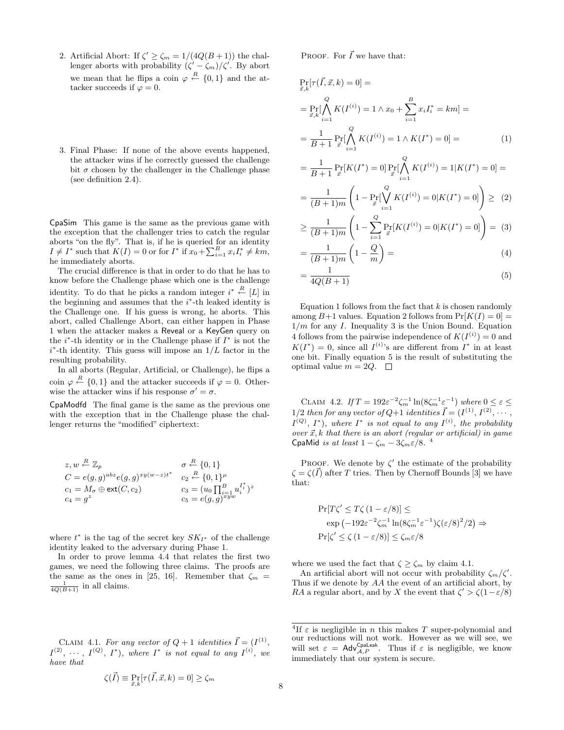- 2. Artificial Abort: If  $\zeta' \geq \zeta_m = 1/(4Q(B+1))$  the challenger aborts with probability  $(\zeta' - \zeta_m)/\zeta'$ . By abort we mean that he flips a coin  $\varphi \stackrel{R}{\leftarrow} \{0,1\}$  and the attacker succeeds if  $\varphi = 0$ .
- 3. Final Phase: If none of the above events happened, the attacker wins if he correctly guessed the challenge bit  $\sigma$  chosen by the challenger in the Challenge phase (see definition 2.4).

CpaSim This game is the same as the previous game with the exception that the challenger tries to catch the regular aborts "on the fly". That is, if he is queried for an identity  $I \neq I^*$  such that  $K(I) = 0$  or for  $I^*$  if  $x_0 + \sum_{i=1}^B x_i I_i^* \neq km$ , he immediately aborts.

The crucial difference is that in order to do that he has to know before the Challenge phase which one is the challenge identity. To do that he picks a random integer  $i^* \stackrel{R}{\leftarrow} [L]$  in the beginning and assumes that the  $i^*$ -th leaked identity is the Challenge one. If his guess is wrong, he aborts. This abort, called Challenge Abort, can either happen in Phase 1 when the attacker makes a Reveal or a KeyGen query on the  $i^*$ -th identity or in the Challenge phase if  $I^*$  is not the  $i^*$ -th identity. This guess will impose an  $1/L$  factor in the resulting probability.

In all aborts (Regular, Artificial, or Challenge), he flips a coin  $\varphi \stackrel{R}{\leftarrow} \{0,1\}$  and the attacker succeeds if  $\varphi = 0$ . Otherwise the attacker wins if his response  $\sigma' = \sigma$ .

CpaModfd The final game is the same as the previous one with the exception that in the Challenge phase the challenger returns the "modified" ciphertext:

$$
z, w \stackrel{R}{\leftarrow} \mathbb{Z}_p \qquad \qquad \sigma \stackrel{R}{\leftarrow} \{0, 1\}
$$
  
\n
$$
C = e(g, g)^{abz} e(g, g)^{xy(w-z)t^*} \qquad c_2 \stackrel{R}{\leftarrow} \{0, 1\}^{\mu}
$$
  
\n
$$
c_1 = M_{\sigma} \oplus \text{ext}(C, c_2) \qquad \qquad c_3 = (u_0 \prod_{i=1}^{B} u_i^{I_i^*})^z
$$
  
\n
$$
c_4 = g^z \qquad \qquad c_5 = e(g, g)^{xyw}
$$

where  $t^*$  is the tag of the secret key  $SK_{I^*}$  of the challenge identity leaked to the adversary during Phase 1.

In order to prove lemma 4.4 that relates the first two games, we need the following three claims. The proofs are the same as the ones in [25, 16]. Remember that  $\zeta_m =$  $\frac{1}{4Q(B+1)}$  in all claims.

CLAIM 4.1. For any vector of  $Q + 1$  identities  $\vec{I} = (I^{(1)},$  $I^{(2)}, \cdots, I^{(Q)}, I^*$ , where  $I^*$  is not equal to any  $I^{(i)}$ , we have that

 $\zeta(\vec{I}) \equiv \Pr_{\vec{x},k}[\tau(\vec{I}, \vec{x}, k) = 0] \geq \zeta_m$ 

PROOF. For  $\vec{I}$  we have that:

$$
\Pr_{\vec{x},k}[\tau(\vec{I}, \vec{x}, k) = 0] =
$$
\n
$$
= \Pr_{\vec{x},k}[\bigwedge_{i=1}^{Q} K(I^{(i)}) = 1 \land x_0 + \sum_{i=1}^{B} x_i I_i^* = km] =
$$
\n
$$
= \frac{1}{B+1} \Pr_{\vec{x}}[\bigwedge_{i=1}^{Q} K(I^{(i)}) = 1 \land K(I^*) = 0] =
$$
\n(1)

$$
= \frac{1}{B+1} \Pr_{\vec{x}}[K(I^*) = 0] \Pr_{\vec{x}}[\bigwedge_{i=1}^{Q} K(I^{(i)}) = 1 | K(I^*) = 0] =
$$

$$
= \frac{1}{(B+1)m} \left(1 - \Pr_{\vec{x}}[\bigvee_{i=1}^{Q} K(I^{(i)}) = 0 | K(I^*) = 0]\right) \geq (2)
$$

$$
\geq \frac{1}{(B+1)m} \left( 1 - \sum_{i=1}^{Q} \Pr_{\vec{x}}[K(I^{(i)}) = 0|K(I^*) = 0] \right) = (3)
$$

$$
=\frac{1}{(B+1)m}\left(1-\frac{Q}{m}\right)=\tag{4}
$$

$$
=\frac{1}{4Q(B+1)}\tag{5}
$$

Equation 1 follows from the fact that  $k$  is chosen randomly among  $B+1$  values. Equation 2 follows from  $Pr[K(I) = 0] =$  $1/m$  for any I. Inequality 3 is the Union Bound. Equation 4 follows from the pairwise independence of  $K(I^{(i)})=0$  and  $K(I^*) = 0$ , since all  $I^{(i)}$ 's are different from  $I^*$  in at least one bit. Finally equation 5 is the result of substituting the optimal value  $m = 2Q$ .  $\Box$ 

CLAIM 4.2. If  $T = 192\varepsilon^{-2} \zeta_m^{-1} \ln(8\zeta_m^{-1} \varepsilon^{-1})$  where  $0 \le \varepsilon \le$ 1/2 then for any vector of Q+1 identities  $\vec{I} = (I^{(1)}, I^{(2)}, \cdots, I^{(n)})$  $I^{(Q)}$ ,  $I^*$ ), where  $I^*$  is not equal to any  $I^{(i)}$ , the probability over  $\vec{x}, k$  that there is an abort (regular or artificial) in game CpaMid is at least  $1 - \zeta_m - 3\zeta_m \varepsilon/8$ .<sup>4</sup>

PROOF. We denote by  $\zeta'$  the estimate of the probability  $\zeta = \zeta(\vec{I})$  after T tries. Then by Chernoff Bounds [3] we have that:

$$
\Pr[T\zeta' \le T\zeta (1 - \varepsilon/8)] \le
$$
  
\n
$$
\exp(-192\varepsilon^{-2}\zeta_m^{-1}\ln(8\zeta_m^{-1}\varepsilon^{-1})\zeta(\varepsilon/8)^2/2) \Rightarrow
$$
  
\n
$$
\Pr[\zeta' \le \zeta (1 - \varepsilon/8)] \le \zeta_m \varepsilon/8
$$

where we used the fact that  $\zeta \geq \zeta_m$  by claim 4.1.

An artificial abort will not occur with probability  $\zeta_m/\zeta'$ . Thus if we denote by AA the event of an artificial abort, by RA a regular abort, and by X the event that  $\zeta' > \zeta(1-\varepsilon/8)$ 

<sup>&</sup>lt;sup>4</sup>If  $\varepsilon$  is negligible in *n* this makes *T* super-polynomial and our reductions will not work. However as we will see, we will set  $\varepsilon = \text{Adv}_{\mathcal{A},P}^{\text{Cpaleak}}$ . Thus if  $\varepsilon$  is negligible, we know immediately that our system is secure.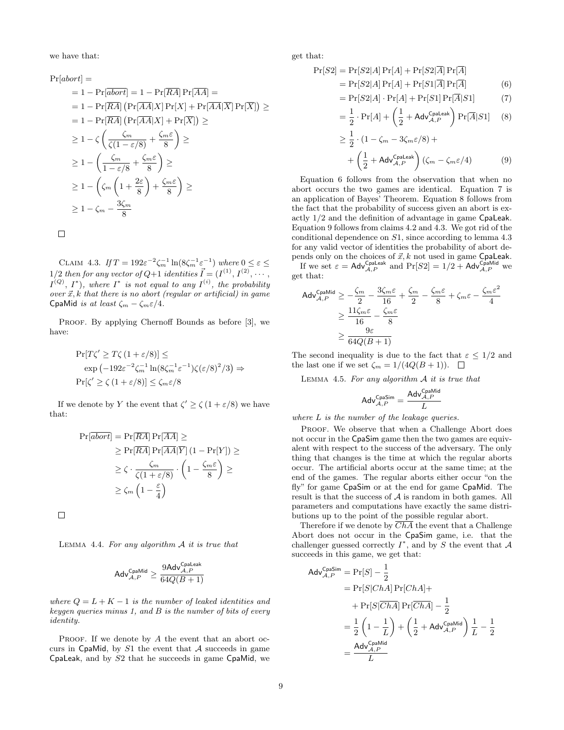we have that:

 $Pr[abort] =$  $= 1 - \Pr[\overline{abort}] = 1 - \Pr[\overline{RA}] \Pr[\overline{AA}] =$  $= 1 - \Pr[\overline{RA}] \left( \Pr[\overline{AA} | X] \Pr[X] + \Pr[\overline{AA} | \overline{X}] \Pr[\overline{X}] \right) \geq$  $= 1 - \Pr[\overline{RA}] \left( \Pr[\overline{AA} | X] + \Pr[\overline{X}] \right) \ge$  $\geq 1-\zeta \left( \frac{\zeta_m}{\zeta(1-\varepsilon/8)} + \frac{\zeta_m \varepsilon}{8} \right)$ 8 « ≥  $\geq 1-\left(\frac{\zeta_m}{\zeta_m}\right)$  $\frac{\zeta_m}{1-\varepsilon/8}+\frac{\zeta_m\varepsilon}{8}$ 8 « ≥  $\geq 1 - \left(\zeta_m\left(1 + \frac{2\varepsilon}{8}\right)$  $+\frac{\zeta_m \varepsilon}{2}$ 8 « ≥  $\geq 1-\zeta_m-\frac{3\zeta_m}{2}$ 8

 $\Box$ 

CLAIM 4.3. If  $T = 192\varepsilon^{-2} \zeta_m^{-1} \ln(8\zeta_m^{-1} \varepsilon^{-1})$  where  $0 \le \varepsilon \le$ 1/2 then for any vector of  $Q+1$  identities  $\vec{I} = (I^{(1)}, I^{(2)}, \cdots, I^{(n)})$  $I^{(Q)}$ ,  $I^*$ ), where  $I^*$  is not equal to any  $I^{(i)}$ , the probability over  $\vec{x}$ , k that there is no abort (regular or artificial) in game CpaMid is at least  $\zeta_m - \zeta_m \varepsilon/4$ .

PROOF. By applying Chernoff Bounds as before [3], we have:

$$
\Pr[T\zeta' \ge T\zeta (1 + \varepsilon/8)] \le
$$
  
\n
$$
\exp(-192\varepsilon^{-2}\zeta_m^{-1}\ln(8\zeta_m^{-1}\varepsilon^{-1})\zeta(\varepsilon/8)^2/3) \Rightarrow
$$
  
\n
$$
\Pr[\zeta' \ge \zeta (1 + \varepsilon/8)] \le \zeta_m \varepsilon/8
$$

If we denote by Y the event that  $\zeta' \geq \zeta (1 + \varepsilon/8)$  we have that:

$$
\Pr[\overline{abort}] = \Pr[\overline{RA}] \Pr[\overline{AA}] \ge
$$
  
\n
$$
\geq \Pr[\overline{RA}] \Pr[\overline{AA} | \overline{Y}] (1 - \Pr[Y]) \ge
$$
  
\n
$$
\geq \zeta \cdot \frac{\zeta_m}{\zeta(1 + \varepsilon/8)} \cdot \left(1 - \frac{\zeta_m \varepsilon}{8}\right) \ge
$$
  
\n
$$
\geq \zeta_m \left(1 - \frac{\varepsilon}{4}\right)
$$

 $\Box$ 

LEMMA 4.4. For any algorithm  $A$  it is true that

$$
\mathsf{Adv}_{\mathcal{A},P}^{\mathsf{CpaMid}} \geq \frac{9\mathsf{Adv}_{\mathcal{A},P}^{\mathsf{CpaLeak}}}{64Q(B+1)}
$$

where  $Q = L + K - 1$  is the number of leaked identities and keygen queries minus 1, and B is the number of bits of every identity.

PROOF. If we denote by  $A$  the event that an abort occurs in CpaMid, by  $S1$  the event that A succeeds in game CpaLeak, and by S2 that he succeeds in game CpaMid, we get that:

$$
\Pr[S2] = \Pr[S2|A]\Pr[A] + \Pr[S2|\overline{A}]\Pr[\overline{A}] \\
= \Pr[S2|A]\Pr[A] + \Pr[S1|\overline{A}]\Pr[\overline{A}]
$$
\n(6)

$$
= \Pr[S2|A] \cdot \Pr[A] + \Pr[S1] \Pr[\overline{A}|S1] \tag{7}
$$

$$
= \frac{1}{2} \cdot \Pr[A] + \left(\frac{1}{2} + \mathsf{Adv}_{\mathcal{A}, P}^{\mathsf{Cpaleak}}\right) \Pr[\overline{A}|S1] \tag{8}
$$

$$
\geq \frac{1}{2} \cdot (1 - \zeta_m - 3\zeta_m \varepsilon/8) +
$$

$$
+ \left(\frac{1}{2} + \mathsf{Adv}_{\mathcal{A},P}^{\mathsf{Cpalesk}}\right) (\zeta_m - \zeta_m \varepsilon/4) \tag{9}
$$

Equation 6 follows from the observation that when no abort occurs the two games are identical. Equation 7 is an application of Bayes' Theorem. Equation 8 follows from the fact that the probability of success given an abort is exactly 1/2 and the definition of advantage in game CpaLeak. Equation 9 follows from claims 4.2 and 4.3. We got rid of the conditional dependence on S1, since according to lemma 4.3 for any valid vector of identities the probability of abort depends only on the choices of  $\vec{x}, k$  not used in game CpaLeak.

If we set  $\varepsilon = \mathsf{Adv}_{\mathcal{A},P}^{\mathsf{Cpaleak}}$  and  $\Pr[S2] = 1/2 + \mathsf{Adv}_{\mathcal{A},P}^{\mathsf{Cpallid}}$  we get that:

$$
\begin{aligned} \text{Adv}_{\mathcal{A},P}^{\text{CpaMid}} &\geq -\frac{\zeta_m}{2} - \frac{3\zeta_m\varepsilon}{16} + \frac{\zeta_m}{2} - \frac{\zeta_m\varepsilon}{8} + \zeta_m\varepsilon - \frac{\zeta_m\varepsilon^2}{4} \\ &\geq \frac{11\zeta_m\varepsilon}{16} - \frac{\zeta_m\varepsilon}{8} \\ &\geq \frac{9\varepsilon}{64Q(B+1)} \end{aligned}
$$

The second inequality is due to the fact that  $\varepsilon \leq 1/2$  and the last one if we set  $\zeta_m = 1/(4Q(B+1)).$ 

LEMMA 4.5. For any algorithm  $A$  it is true that

$$
\mathsf{Adv}_{\mathcal{A},P}^{\mathsf{CpaSim}} = \frac{\mathsf{Adv}_{\mathcal{A},P}^{\mathsf{CpaMid}}}{L}
$$

where L is the number of the leakage queries.

PROOF. We observe that when a Challenge Abort does not occur in the CpaSim game then the two games are equivalent with respect to the success of the adversary. The only thing that changes is the time at which the regular aborts occur. The artificial aborts occur at the same time; at the end of the games. The regular aborts either occur "on the fly" for game CpaSim or at the end for game CpaMid. The result is that the success of A is random in both games. All parameters and computations have exactly the same distributions up to the point of the possible regular abort.

Therefore if we denote by  $\overline{ChA}$  the event that a Challenge Abort does not occur in the CpaSim game, i.e. that the challenger guessed correctly  $I^*$ , and by S the event that A succeeds in this game, we get that:

$$
Adv_{A,P}^{\text{CpaSim}} = \Pr[S] - \frac{1}{2}
$$
  
=  $\Pr[S|ChA] \Pr[ChA] +$   
+  $\Pr[S|\overline{ChA}] \Pr[\overline{ChA}] - \frac{1}{2}$   
=  $\frac{1}{2} \left( 1 - \frac{1}{L} \right) + \left( \frac{1}{2} + \text{Adv}_{A,P}^{\text{CpaMid}} \right) \frac{1}{L} - \frac{1}{2}$   
=  $\frac{\text{Adv}_{A,P}^{\text{CpaMid}}}{L}$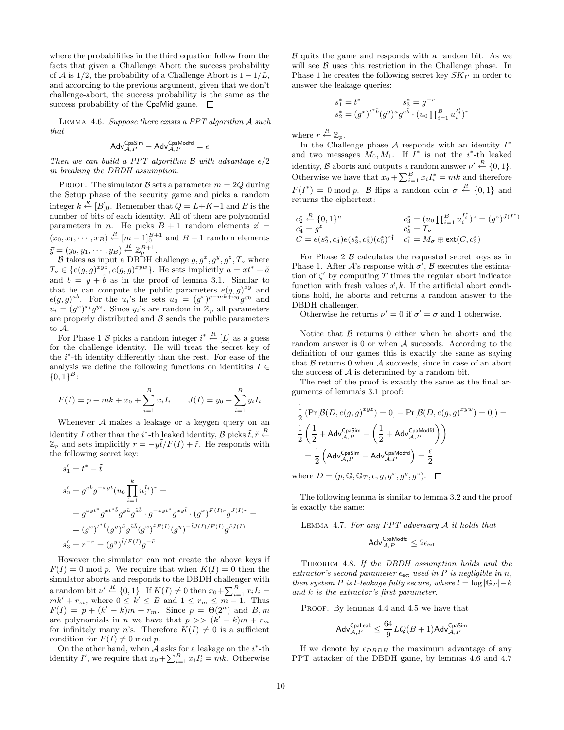where the probabilities in the third equation follow from the facts that given a Challenge Abort the success probability of A is  $1/2$ , the probability of a Challenge Abort is  $1 - 1/L$ , and according to the previous argument, given that we don't challenge-abort, the success probability is the same as the success probability of the CpaMid game.  $\square$ 

Lemma 4.6. Suppose there exists a PPT algorithm A such that

$$
\mathsf{Adv}_{\mathcal{A},P}^{\mathsf{CpaSim}} - \mathsf{Adv}_{\mathcal{A},P}^{\mathsf{CpaModfd}} = \epsilon
$$

Then we can build a PPT algorithm  $\beta$  with advantage  $\epsilon/2$ in breaking the DBDH assumption.

PROOF. The simulator  $\beta$  sets a parameter  $m = 2Q$  during the Setup phase of the security game and picks a random integer  $k \stackrel{R}{\leftarrow} [B]_0$ . Remember that  $Q = L + K - 1$  and B is the number of bits of each identity. All of them are polynomial parameters in n. He picks  $B + 1$  random elements  $\vec{x} =$  $(x_0, x_1, \dots, x_B) \stackrel{R}{\leftarrow} [m-1]_0^{B+1}$  and  $B+1$  random elements  $\vec{y} = (y_0, y_1, \cdots, y_B) \stackrel{R}{\leftarrow} \mathbb{Z}_p^{B+1}.$ 

B takes as input a DBDH challenge  $g, g^x, g^y, g^z, T_\nu$  where  $T_{\nu} \in \{e(g,g)^{xyz}, e(g,g)^{xyw}\}.$  He sets implicitly  $a = xt^* + \tilde{a}$ and  $b = y + \tilde{b}$  as in the proof of lemma 3.1. Similar to that he can compute the public parameters  $e(g, g)^{xy}$  and  $e(g,g)^{ab}$ . For the  $u_i$ 's he sets  $u_0 = (g^x)^{p-mk+x_0}g^{y_0}$  and  $u_i = (g^x)^{x_i} g^{y_i}$ . Since  $y_i$ 's are random in  $\mathbb{Z}_p$  all parameters are properly distributed and  $\beta$  sends the public parameters to A.

For Phase 1 B picks a random integer  $i^* \stackrel{R}{\leftarrow} [L]$  as a guess for the challenge identity. He will treat the secret key of the i ∗ -th identity differently than the rest. For ease of the analysis we define the following functions on identities  $I \in$  ${0,1\}^B$ :

$$
F(I) = p - mk + x_0 + \sum_{i=1}^{B} x_i I_i \qquad J(I) = y_0 + \sum_{i=1}^{B} y_i I_i
$$

Whenever A makes a leakage or a keygen query on an identity I other than the *i*<sup>\*</sup>-th leaked identity, B picks  $\tilde{t}, \tilde{r} \stackrel{R}{\leftarrow}$  $\mathbb{Z}_p$  and sets implicitly  $r = -y\tilde{t}/F(I) + \tilde{r}$ . He responds with the following secret key:

$$
s'_1 = t^* - \tilde{t}
$$
  
\n
$$
s'_2 = g^{ab}g^{-xyt}(u_0 \prod_{i=1}^k u_i^{I_i})^r =
$$
  
\n
$$
= g^{xyt^*}g^{xt^*\tilde{b}}g^{y\tilde{a}}g^{\tilde{a}\tilde{b}} \cdot g^{-xyt^*}g^{xy\tilde{t}} \cdot (g^x)^{F(I)r}g^{J(I)r} =
$$
  
\n
$$
= (g^x)^{t^*\tilde{b}}(g^y)^{\tilde{a}}g^{\tilde{a}\tilde{b}}(g^x)^{\tilde{r}F(I)}(g^y)^{-\tilde{t}J(I)/F(I)}g^{\tilde{r}J(I)}
$$
  
\n
$$
s'_3 = r^{-r} = (g^y)^{\tilde{t}/F(I)}g^{-\tilde{r}}
$$

However the simulator can not create the above keys if  $F(I) = 0$  mod p. We require that when  $K(I) = 0$  then the simulator aborts and responds to the DBDH challenger with a random bit  $\nu' \stackrel{R}{\leftarrow} \{0,1\}$ . If  $K(I) \neq 0$  then  $x_0 + \sum_{i=1}^B x_i I_i =$  $mk' + r_m$ , where  $0 \leq k' \leq B$  and  $1 \leq r_m \leq m-1$ . Thus  $F(I) = p + (k' - k)m + r_m$ . Since  $p = \Theta(2^n)$  and  $B, m$ are polynomials in *n* we have that  $p \gg (k'-k)m + r_m$ for infinitely many n's. Therefore  $K(I) \neq 0$  is a sufficient condition for  $F(I) \neq 0 \text{ mod } p$ .

On the other hand, when  $A$  asks for a leakage on the  $i^*$ -th identity I', we require that  $x_0 + \sum_{i=1}^B x_i I'_i = m k$ . Otherwise  $\beta$  quits the game and responds with a random bit. As we will see  $\beta$  uses this restriction in the Challenge phase. In Phase 1 he creates the following secret key  $SK_{I'}$  in order to answer the leakage queries:

$$
s_1^* = t^* \t s_2^* = g^{-r}
$$
  
\n
$$
s_2^* = (g^x)^{t^* \tilde{b}} (g^y)^{\tilde{a}} g^{\tilde{a}\tilde{b}} \cdot (u_0 \prod_{i=1}^B u_i^{I'_i})^r
$$

where  $r \stackrel{R}{\leftarrow} \mathbb{Z}_p$ .

In the Challenge phase  $A$  responds with an identity  $I^*$ and two messages  $M_0, M_1$ . If  $I^*$  is not the *i*<sup>\*</sup>-th leaked identity,  $\mathcal{B}$  aborts and outputs a random answer  $\nu' \stackrel{R}{\leftarrow} \{0,1\}.$ Otherwise we have that  $x_0 + \sum_{i=1}^{B} x_i I_i^* = mk$  and therefore  $F(I^*) = 0$  mod p. B flips a random coin  $\sigma \stackrel{R}{\leftarrow} \{0,1\}$  and returns the ciphertext:

$$
\begin{array}{lll} c_2^* \stackrel{R}{\leftarrow} \{0,1\}^\mu & c_3^* = (u_0 \prod_{i=1}^B u_i^{I_i^*})^z = (g^z)^{J(I^*)} \\ c_4^* = g^z & c_5^* = T_\nu \\ C = e(s_2^*, c_4^*) e(s_3^*, c_3^*) (c_5^*)^{s_1^*} & c_1^* = M_\sigma \oplus \text{ext}(C, c_2^*) \end{array}
$$

For Phase  $2 \mathcal{B}$  calculates the requested secret keys as in Phase 1. After  $\mathcal{A}$ 's response with  $\sigma^7$ ,  $\mathcal{B}$  executes the estimation of  $\zeta'$  by computing T times the regular abort indicator function with fresh values  $\vec{x}, k$ . If the artificial abort conditions hold, he aborts and returns a random answer to the DBDH challenger.

Otherwise he returns  $\nu' = 0$  if  $\sigma' = \sigma$  and 1 otherwise.

Notice that  $\beta$  returns 0 either when he aborts and the random answer is 0 or when A succeeds. According to the definition of our games this is exactly the same as saying that  $\beta$  returns 0 when  $\mathcal A$  succeeds, since in case of an abort the success of  $A$  is determined by a random bit.

The rest of the proof is exactly the same as the final arguments of lemma's 3.1 proof:

$$
\frac{1}{2} \left( \Pr[\mathcal{B}(D, e(g, g)^{xyz}) = 0] - \Pr[\mathcal{B}(D, e(g, g)^{xyw}) = 0] \right) =
$$
\n
$$
\frac{1}{2} \left( \frac{1}{2} + \text{Adv}_{\mathcal{A}, P}^{\text{CpaSim}} - \left( \frac{1}{2} + \text{Adv}_{\mathcal{A}, P}^{\text{CpaModfd}} \right) \right)
$$
\n
$$
= \frac{1}{2} \left( \text{Adv}_{\mathcal{A}, P}^{\text{CpaSim}} - \text{Adv}_{\mathcal{A}, P}^{\text{CpaModfd}} \right) = \frac{\epsilon}{2}
$$

where  $D = (p, \mathbb{G}, \mathbb{G}_T, e, g, g^x, g^y, g^z).$ 

The following lemma is similar to lemma 3.2 and the proof is exactly the same:

LEMMA 4.7. For any PPT adversary  $A$  it holds that

$$
\mathsf{Adv}_{\mathcal{A},P}^{\mathsf{CpaModfd}} \leq 2\epsilon_{\mathsf{ext}}
$$

Theorem 4.8. If the DBDH assumption holds and the extractor's second parameter  $\epsilon_{\text{ext}}$  used in P is negligible in n, then system P is l-leakage fully secure, where  $l = \log |\mathbb{G}_T| - k$ and k is the extractor's first parameter.

PROOF. By lemmas 4.4 and 4.5 we have that

$$
\mathsf{Adv}_{\mathcal{A},P}^{\mathsf{Cpaleak}} \leq \frac{64}{9}LQ(B+1)\mathsf{Adv}_{\mathcal{A},P}^{\mathsf{CpaSim}}
$$

If we denote by  $\epsilon_{DBDH}$  the maximum advantage of any PPT attacker of the DBDH game, by lemmas 4.6 and 4.7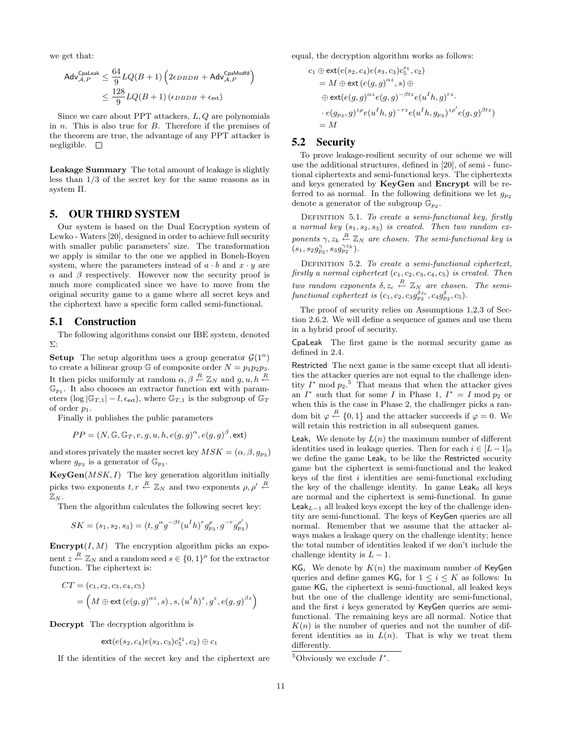we get that:

$$
\begin{aligned} \mathsf{Adv}_{\mathcal{A},P}^{\mathsf{Cpalesk}} &\leq \frac{64}{9} LQ(B+1)\left(2\epsilon_{DBDH} + \mathsf{Adv}_{\mathcal{A},P}^{\mathsf{CpaModfd}}\right) \\ &\leq \frac{128}{9} LQ(B+1)\left(\epsilon_{DBDH} + \epsilon_{\mathrm{ext}}\right) \end{aligned}
$$

Since we care about PPT attackers,  $L, Q$  are polynomials in n. This is also true for B. Therefore if the premises of the theorem are true, the advantage of any PPT attacker is negligible.  $\square$ 

Leakage Summary The total amount of leakage is slightly less than 1/3 of the secret key for the same reasons as in system Π.

## 5. OUR THIRD SYSTEM

Our system is based on the Dual Encryption system of Lewko - Waters [20], designed in order to achieve full security with smaller public parameters' size. The transformation we apply is similar to the one we applied in Boneh-Boyen system, where the parameters instead of  $a \cdot b$  and  $x \cdot y$  are  $\alpha$  and  $\beta$  respectively. However now the security proof is much more complicated since we have to move from the original security game to a game where all secret keys and the ciphertext have a specific form called semi-functional.

#### 5.1 Construction

The following algorithms consist our IBE system, denoted Σ:

**Setup** The setup algorithm uses a group generator  $\mathcal{G}(1^n)$ to create a bilinear group  $\mathbb G$  of composite order  $N = p_1p_2p_3$ . It then picks uniformly at random  $\alpha, \beta \stackrel{R}{\leftarrow} \mathbb{Z}_N$  and  $g, u, h \stackrel{R}{\leftarrow}$  $\mathbb{G}_{p_1}$ . It also chooses an extractor function ext with parameters (log  $|\mathbb{G}_{T,1}| - l$ ,  $\epsilon_{\text{ext}}$ ), where  $\mathbb{G}_{T,1}$  is the subgroup of  $\mathbb{G}_T$ of order  $p_1$ .

Finally it publishes the public parameters

$$
PP = (N, \mathbb{G}, \mathbb{G}_T, e, g, u, h, e(g, g)^{\alpha}, e(g, g)^{\beta}, \text{ext})
$$

and stores privately the master secret key  $MSK = (\alpha, \beta, g_{p_3})$ where  $g_{p_3}$  is a generator of  $\mathbb{G}_{p_3}$ .

 $KeyGen(MSK, I)$  The key generation algorithm initially picks two exponents  $t, r \stackrel{R}{\leftarrow} \mathbb{Z}_N$  and two exponents  $\rho, \rho' \stackrel{R}{\leftarrow}$  $\mathbb{Z}_{N}$ .

Then the algorithm calculates the following secret key:

$$
SK = (s_1, s_2, s_3) = (t, g^{\alpha} g^{-\beta t} (u^I h)^r g^{\rho}_{p_3}, g^{-r} g^{\rho'}_{p_3})
$$

**Encrypt** $(I, M)$  The encryption algorithm picks an exponent  $z \stackrel{R}{\leftarrow} \mathbb{Z}_N$  and a random seed  $s \in \{0,1\}^{\mu}$  for the extractor function. The ciphertext is:

$$
CT = (c_1, c_2, c_3, c_4, c_5)
$$
  
=  $(M \oplus ext(e(g, g)^{\alpha z}, s), s, (u^I h)^z, g^z, e(g, g)^{\beta z})$ 

Decrypt The decryption algorithm is

$$
{\rm ext}(e(s_2,c_4)e(s_3,c_3)c_5^{s_1},c_2)\oplus c_1
$$

If the identities of the secret key and the ciphertext are

equal, the decryption algorithm works as follows:

$$
c_1 \oplus \text{ext}(e(s_2, c_4)e(s_3, c_3)c_5^{s_1}, c_2)
$$
  
=  $M \oplus \text{ext}(e(g, g)^{\alpha z}, s) \oplus$   
 $\oplus \text{ext}(e(g, g)^{\alpha z}e(g, g)^{-\beta t z}e(u^I h, g)^{rz}.$   
 $\cdot e(g_{p_3}, g)^{z \rho}e(u^I h, g)^{-rz}e(u^I h, g_{p_3})^{z \rho'}e(g, g)^{\beta tz})$   
=  $M$ 

## 5.2 Security

To prove leakage-resilient security of our scheme we will use the additional structures, defined in [20], of semi - functional ciphertexts and semi-functional keys. The ciphertexts and keys generated by KeyGen and Encrypt will be referred to as normal. In the following definitions we let  $g_{p_2}$ denote a generator of the subgroup  $\bar{\mathbb{G}}_{p_2}$ .

DEFINITION 5.1. To create a semi-functional key, firstly a normal key  $(s_1, s_2, s_3)$  is created. Then two random exponents  $\gamma, z_k \stackrel{R}{\leftarrow} \mathbb{Z}_N$  are chosen. The semi-functional key is  $(s_1,s_2g_{p_2}^{\gamma},s_3g_{p_2}^{\gamma z_k}).$ 

DEFINITION 5.2. To create a semi-functional ciphertext, firstly a normal ciphertext  $(c_1, c_2, c_3, c_4, c_5)$  is created. Then two random exponents  $\delta, z_c \stackrel{R}{\leftarrow} \mathbb{Z}_N$  are chosen. The semifunctional ciphertext is  $(c_1, c_2, c_3 g_{p_2}^{\delta z_c}, c_4 g_{p_2}^{\delta}, c_5)$ .

The proof of security relies on Assumptions 1,2,3 of Section 2.6.2. We will define a sequence of games and use them in a hybrid proof of security.

CpaLeak The first game is the normal security game as defined in 2.4.

Restricted The next game is the same except that all identities the attacker queries are not equal to the challenge identity  $I^*$  mod  $p_2$ .<sup>5</sup> That means that when the attacker gives an  $I^*$  such that for some I in Phase 1,  $I^* = I \mod p_2$  or when this is the case in Phase 2, the challenger picks a random bit  $\varphi \stackrel{R}{\leftarrow} \{0,1\}$  and the attacker succeeds if  $\varphi = 0$ . We will retain this restriction in all subsequent games.

**Leak** We denote by  $L(n)$  the maximum number of different identities used in leakage queries. Then for each  $i \in [L-1]_0$ we define the game  $\textsf{Leak}_i$  to be like the Restricted security game but the ciphertext is semi-functional and the leaked keys of the first  $i$  identities are semi-functional excluding the key of the challenge identity. In game  $Leak<sub>0</sub>$  all keys are normal and the ciphertext is semi-functional. In game Leak<sub>L-1</sub> all leaked keys except the key of the challenge identity are semi-functional. The keys of KeyGen queries are all normal. Remember that we assume that the attacker always makes a leakage query on the challenge identity; hence the total number of identities leaked if we don't include the challenge identity is  $L - 1$ .

 $KG<sub>i</sub>$  We denote by  $K(n)$  the maximum number of KeyGen queries and define games  $\mathsf{KG}_i$  for  $1 \leq i \leq K$  as follows: In game  $KG_i$  the ciphertext is semi-functional, all leaked keys but the one of the challenge identity are semi-functional, and the first i keys generated by KeyGen queries are semifunctional. The remaining keys are all normal. Notice that  $K(n)$  is the number of queries and not the number of different identities as in  $L(n)$ . That is why we treat them differently.

<sup>&</sup>lt;sup>5</sup>Obviously we exclude  $I^*$ .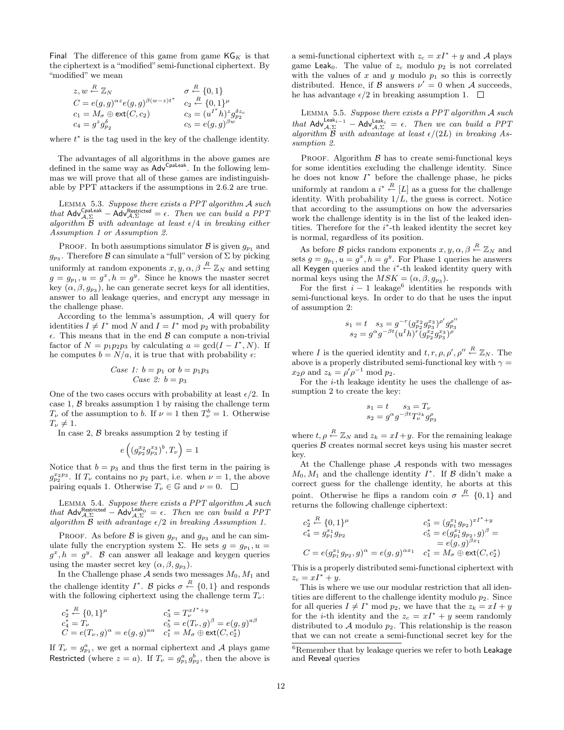Final The difference of this game from game  $\mathsf{KG}_K$  is that the ciphertext is a "modified" semi-functional ciphertext. By "modified" we mean

$$
z, w \stackrel{R}{\leftarrow} \mathbb{Z}_N \qquad \qquad \sigma \stackrel{R}{\leftarrow} \{0, 1\}
$$
  
\n
$$
C = e(g, g)^{\alpha z} e(g, g)^{\beta(w-z)t^*} \qquad c_2 \stackrel{R}{\leftarrow} \{0, 1\}^{\mu}
$$
  
\n
$$
c_1 = M_{\sigma} \oplus \text{ext}(C, c_2) \qquad \qquad c_3 = (u^{I^*}h)^{z} g_{p_2}^{\delta z_c}
$$
  
\n
$$
c_4 = g^z g_{p_2}^{\delta}
$$
  
\n
$$
c_5 = e(g, g)^{\beta w}
$$

where  $t^*$  is the tag used in the key of the challenge identity.

The advantages of all algorithms in the above games are defined in the same way as  $\overrightarrow{A}dv^{Cpal.}$ . In the following lemmas we will prove that all of these games are indistinguishable by PPT attackers if the assumptions in 2.6.2 are true.

Lemma 5.3. Suppose there exists a PPT algorithm A such that  $\text{Adv}_{\mathcal{A},\Sigma}^{\text{Cpaleak}} - \hat{\text{Adv}}_{\mathcal{A},\Sigma}^{\text{Restricted}} = \epsilon$ . Then we can build a PPT algorithm  $\beta$  with advantage at least  $\epsilon/4$  in breaking either Assumption 1 or Assumption 2.

PROOF. In both assumptions simulator  $\beta$  is given  $g_{p_1}$  and  $g_{p_3}$ . Therefore  $\beta$  can simulate a "full" version of  $\Sigma$  by picking uniformly at random exponents  $x, y, \alpha, \beta \stackrel{R}{\leftarrow} \mathbb{Z}_N$  and setting  $g = g_{p_1}, u = g^x, h = g^y$ . Since he knows the master secret key  $(\alpha, \beta, g_{p_3})$ , he can generate secret keys for all identities, answer to all leakage queries, and encrypt any message in the challenge phase.

According to the lemma's assumption, A will query for identities  $I \neq I^* \mod N$  and  $I = I^* \mod p_2$  with probability  $\epsilon$ . This means that in the end  $\beta$  can compute a non-trivial factor of  $N = p_1 p_2 p_3$  by calculating  $a = \gcd(I - I^*, N)$ . If he computes  $b = N/a$ , it is true that with probability  $\epsilon$ :

Case 1: 
$$
b = p_1
$$
 or  $b = p_1p_3$   
Case 2:  $b = p_3$ 

One of the two cases occurs with probability at least  $\epsilon/2$ . In case 1,  $\beta$  breaks assumption 1 by raising the challenge term  $T_{\nu}$  of the assumption to b. If  $\nu = 1$  then  $T_{\nu}^{b} = 1$ . Otherwise  $T_{\nu} \neq 1.$ 

In case 2,  $\beta$  breaks assumption 2 by testing if

$$
e\left((g_{p_2}^{x_2}g_{p_3}^{x_3})^b,T_{\nu}\right)=1
$$

Notice that  $b = p_3$  and thus the first term in the pairing is  $g_{p_2}^{x_2p_3}$ . If  $T_{\nu}$  contains no  $p_2$  part, i.e. when  $\nu = 1$ , the above pairing equals 1. Otherwise  $T_{\nu} \in \mathbb{G}$  and  $\nu = 0$ .  $\Box$ 

LEMMA 5.4. Suppose there exists a PPT algorithm  $A$  such that Adv<sup>Restricted</sup> – Adv<sup>Leak<sub>0</sub></sub> =  $\epsilon$ . Then we can build a PPT</sup> algorithm  $\beta$  with advantage  $\epsilon/2$  in breaking Assumption 1.

PROOF. As before  $\beta$  is given  $g_{p_1}$  and  $g_{p_3}$  and he can simulate fully the encryption system  $\Sigma$ . He sets  $g = g_{p_1}, u =$  $g^x$ ,  $h = g^y$ . B can answer all leakage and keygen queries using the master secret key  $(\alpha, \beta, g_{p_3}).$ 

In the Challenge phase  $A$  sends two messages  $M_0, M_1$  and the challenge identity  $I^*$ . B picks  $\sigma \stackrel{R}{\leftarrow} \{0,1\}$  and responds with the following ciphertext using the challenge term  $T_{\nu}$ :

$$
\begin{array}{ll}\nc_2^* & \xleftarrow{R} \{0,1\}^\mu & c_3^* = T_\nu^{xI^* + y} \\
c_4^* = T_\nu & c_5^* = e(T_\nu, g)^\beta = e(g, g)^{a\beta} \\
C = e(T_\nu, g)^\alpha = e(g, g)^{a\alpha} & c_1^* = M_\sigma \oplus \text{ext}(C, c_2^*)\n\end{array}
$$

If  $T_{\nu} = g_{p_1}^a$ , we get a normal ciphertext and A plays game Restricted (where  $z = a$ ). If  $T_{\nu} = g_{p_1}^a g_{p_2}^b$ , then the above is a semi-functional ciphertext with  $z_c = xI^* + y$  and A plays game Leak<sub>0</sub>. The value of  $z_c$  modulo  $p_2$  is not correlated with the values of x and y modulo  $p_1$  so this is correctly distributed. Hence, if  $\beta$  answers  $\nu' = 0$  when A succeeds, he has advantage  $\epsilon/2$  in breaking assumption 1.  $\Box$ 

Lemma 5.5. Suppose there exists a PPT algorithm A such that  $\mathsf{Adv}_{\mathcal{A},\Sigma}^{\mathsf{Leak}_{i-1}} - \mathsf{Adv}_{\mathcal{A},\Sigma}^{\mathsf{Leak}_i} = \epsilon$ . Then we can build a PPT algorithm  $\overline{B}$  with advantage at least  $\epsilon/(2L)$  in breaking Assumption 2.

PROOF. Algorithm  $\beta$  has to create semi-functional keys for some identities excluding the challenge identity. Since he does not know  $I^*$  before the challenge phase, he picks uniformly at random a  $i^* \stackrel{R}{\leftarrow} [L]$  as a guess for the challenge identity. With probability  $1/L$ , the guess is correct. Notice that according to the assumptions on how the adversaries work the challenge identity is in the list of the leaked identities. Therefore for the i<sup>\*</sup>-th leaked identity the secret key is normal, regardless of its position.

As before B picks random exponents  $x, y, \alpha, \beta \stackrel{R}{\leftarrow} \mathbb{Z}_N$  and sets  $g = g_{p_1}, u = g^x, h = g^y$ . For Phase 1 queries he answers all Keygen queries and the  $i^*$ -th leaked identity query with normal keys using the  $MSK = (\alpha, \beta, g_{p_3}).$ 

For the first  $i - 1$  leakage<sup>6</sup> identities he responds with semi-functional keys. In order to do that he uses the input of assumption 2:

$$
\begin{array}{l} s_1=t \quad s_3=g^{-r}(g^{x_2}_{p_2}g^{x_3}_{p_3})^{\rho'}g^{\rho''}_{p_3} \\ s_2=g^{\alpha}g^{-\beta t}(u^I h)^r(g^{x_2}_{p_2}g^{x_3}_{p_3})^{\rho} \end{array}
$$

where I is the queried identity and  $t, r, \rho, \rho', \rho'' \stackrel{R}{\leftarrow} \mathbb{Z}_N$ . The above is a properly distributed semi-functional key with  $\gamma =$  $x_2 \rho$  and  $z_k = \rho' \rho^{-1}$  mod  $p_2$ .

For the  $i$ -th leakage identity he uses the challenge of assumption 2 to create the key:

$$
s_1 = t \t s_3 = T_{\nu}
$$
  

$$
s_2 = g^{\alpha} g^{-\beta t} T_{\nu}^{z_k} g_{p_3}^{\rho}
$$

where  $t, \rho \stackrel{R}{\leftarrow} \mathbb{Z}_N$  and  $z_k = xI + y$ . For the remaining leakage queries  $\beta$  creates normal secret keys using his master secret key.

At the Challenge phase  $A$  responds with two messages  $M_0, M_1$  and the challenge identity  $I^*$ . If  $\mathcal B$  didn't make a correct guess for the challenge identity, he aborts at this point. Otherwise he flips a random coin  $\sigma \stackrel{R}{\leftarrow} \{0,1\}$  and returns the following challenge ciphertext:

$$
c_2^* \stackrel{R}{=} \{0,1\}^{\mu} \qquad c_3^* = (g_{p_1}^{x_1} g_{p_2})^{xI^* + y}
$$
  
\n
$$
c_4^* = g_{p_1}^{x_1} g_{p_2} \qquad c_5^* = e(g_{p_1}^{x_1} g_{p_2}, g)^{\beta} =
$$
  
\n
$$
C = e(g_{p_1}^{x_1} g_{p_2}, g)^{\alpha} = e(g, g)^{\alpha x_1} \qquad c_1^* = M_{\sigma} \oplus \text{ext}(C, c_2^*)
$$

This is a properly distributed semi-functional ciphertext with  $z_c = xI^* + y.$ 

This is where we use our modular restriction that all identities are different to the challenge identity modulo  $p_2$ . Since for all queries  $I \neq I^*$  mod  $p_2$ , we have that the  $z_k = xI + y$ for the *i*-th identity and the  $z_c = xI^* + y$  seem randomly distributed to A modulo  $p_2$ . This relationship is the reason that we can not create a semi-functional secret key for the

<sup>&</sup>lt;sup>6</sup>Remember that by leakage queries we refer to both Leakage and Reveal queries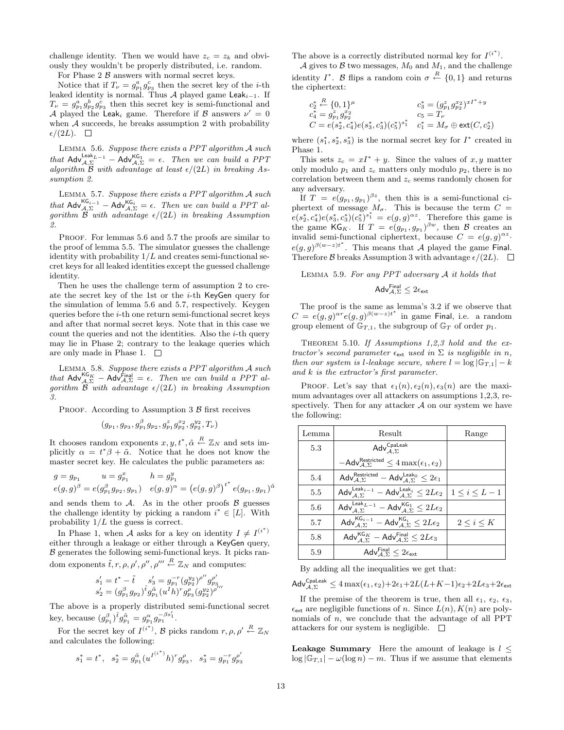challenge identity. Then we would have  $z_c = z_k$  and obviously they wouldn't be properly distributed, i.e. random.

For Phase  $2 \mathcal{B}$  answers with normal secret keys.

Notice that if  $T_{\nu} = g_{p_1}^a g_{p_3}^c$  then the secret key of the *i*-th leaked identity is normal. Thus A played game Leak<sub>i-1</sub>. If  $T_{\nu} = g_{p_1}^a g_{p_2}^b g_{p_3}^c$  then this secret key is semi-functional and A played the Leak<sub>i</sub> game. Therefore if B answers  $\nu' = 0$ when  $A$  succeeds, he breaks assumption 2 with probability  $\epsilon/(2L)$ .  $\Box$ 

Lemma 5.6. Suppose there exists a PPT algorithm A such that  $\mathsf{Adv}_{\mathcal{A},\Sigma}^{\mathsf{Leak}_{L-1}} - \mathsf{Adv}_{\mathcal{A},\Sigma}^{\mathsf{KG}_1} = \epsilon$ . Then we can build a PPT algorithm  $\mathcal{B}$  with advantage at least  $\epsilon/(2L)$  in breaking Assumption 2.

Lemma 5.7. Suppose there exists a PPT algorithm A such that  $\mathsf{Adv}_{\mathcal{A},\Sigma}^{\mathsf{KG}_{i-1}} - \mathsf{Adv}_{\mathcal{A},\Sigma}^{\mathsf{KG}_i} = \epsilon$ . Then we can build a PPT algorithm  $\widetilde{\mathcal{B}}$  with advantage  $\epsilon/(2L)$  in breaking Assumption 2.

PROOF. For lemmas 5.6 and 5.7 the proofs are similar to the proof of lemma 5.5. The simulator guesses the challenge identity with probability  $1/L$  and creates semi-functional secret keys for all leaked identities except the guessed challenge identity.

Then he uses the challenge term of assumption 2 to create the secret key of the 1st or the i-th KeyGen query for the simulation of lemma 5.6 and 5.7, respectively. Keygen queries before the  $i$ -th one return semi-functional secret keys and after that normal secret keys. Note that in this case we count the queries and not the identities. Also the  $i$ -th query may lie in Phase 2; contrary to the leakage queries which are only made in Phase 1.  $\square$ 

LEMMA 5.8. Suppose there exists a PPT algorithm A such that  $\mathsf{Adv}_{\mathcal{A},\Sigma}^{\mathsf{KG}_K}$  –  $\mathsf{Adv}_{\mathcal{A},\Sigma}^{\mathsf{Final}} = \epsilon$ . Then we can build a PPT algorithm  $\hat{\mathcal{B}}$  with advantage  $\epsilon/(2L)$  in breaking Assumption 3.

PROOF. According to Assumption 3  $\beta$  first receives

$$
(g_{p_1},g_{p_3},g_{p_1}^\beta g_{p_2},g_{p_1}^zg_{p_2}^{x_2},g_{p_2}^{y_2},T_\nu)
$$

It chooses random exponents  $x, y, t^*, \tilde{\alpha} \stackrel{R}{\leftarrow} \mathbb{Z}_N$  and sets implicitly  $\alpha = t^*\beta + \tilde{\alpha}$ . Notice that he does not know the master secret key. He calculates the public parameters as:

$$
g = g_{p_1} \t u = g_{p_1}^x \t h = g_{p_1}^y
$$
  

$$
e(g, g)^{\beta} = e(g_{p_1}^{\beta} g_{p_2}, g_{p_1}) \t e(g, g)^{\alpha} = (e(g, g)^{\beta})^{t^*} e(g_{p_1}, g_{p_1})^{\tilde{\alpha}}
$$

and sends them to  $A$ . As in the other proofs  $\beta$  guesses the challenge identity by picking a random  $i^* \in [L]$ . With probability  $1/L$  the guess is correct.

In Phase 1, when A asks for a key on identity  $I \neq I^{(i^*)}$ either through a leakage or either through a KeyGen query,  $\beta$  generates the following semi-functional keys. It picks random exponents  $\tilde{t}, r, \rho, \rho', \rho'', \rho''' \stackrel{R}{\leftarrow} \mathbb{Z}_N$  and computes:

$$
\begin{array}{l} s_1'=t^*-\tilde{t} \hspace{0.5cm} s_3'=g_{p_1}^{-r}(g_{p_2}^{y_2})^{\rho''}g_{p_3}^{\rho'} \\ s_2'= (g_{p_1}^{\beta}g_{p_2})^{\tilde{t}}g_{p_1}^{\tilde{\alpha}}(u^I h)^{r}g_{p_3}^{\rho}(g_{p_2}^{y_2})^{\rho'''} \end{array}
$$

The above is a properly distributed semi-functional secret key, because  $(g_{p_1}^{\beta})^{\tilde{t}} g_{p_1}^{\tilde{\alpha}} = g_{p_1}^{\alpha} g_{p_1}^{-\beta s'_1}$ .

For the secret key of  $I^{(i^*)}$ ,  $\mathcal B$  picks random  $r, \rho, \rho' \stackrel{R}{\leftarrow} \mathbb{Z}_N$ and calculates the following:

$$
s_1^*=t^*,\ \ s_2^*=g^{\tilde{\alpha}}_{p_1}({u^{I^{(i^*)}}h})^r g^{\rho}_{p_3},\ \ s_3^*=g^{-r}_{p_1}g^{\rho'}_{p_3}
$$

The above is a correctly distributed normal key for  $I^{(i^*)}$ .

A gives to B two messages,  $M_0$  and  $M_1$ , and the challenge identity  $I^*$ . B flips a random coin  $\sigma \stackrel{R}{\leftarrow} \{0,1\}$  and returns the ciphertext:

$$
\begin{array}{llll} c_2^* \stackrel{R}{\leftarrow} \{0,1\}^\mu & c_3^* = (g_{p_1}^z g_{p_2}^{x_2})^{xI^*+y} \\ c_4^* = g_{p_1}^z g_{p_2}^{x_2} & c_5 = T_\nu \\ C = e(s_2^*,c_4^*) e(s_3^*,c_3^*) (c_5^*)^{s_1^*} & c_1^* = M_\sigma \oplus \text{ext}(C,c_2^*) \end{array}
$$

where  $(s_1^*, s_2^*, s_3^*)$  is the normal secret key for  $I^*$  created in Phase 1.

This sets  $z_c = xI^* + y$ . Since the values of x, y matter only modulo  $p_1$  and  $z_c$  matters only modulo  $p_2$ , there is no correlation between them and  $z_c$  seems randomly chosen for any adversary.

If  $T = e(g_{p_1}, g_{p_1})^{\beta z}$ , then this is a semi-functional ciphertext of message  $M_{\sigma}$ . This is because the term  $C =$  $e(s_2^*, c_4^*)e(s_3^*, c_3^*)(c_5^*)^{s_1^*} = e(g, g)^{\alpha z}$ . Therefore this game is the game KG<sub>K</sub>. If  $T = e(g_{p_1}, g_{p_1})^{\beta w}$ , then B creates an invalid semi-functional ciphertext, because  $C = e(g, g)^{\alpha z}$ .  $e(g,g)^{\beta(w-z)t^*}$ . This means that A played the game Final. Therefore B breaks Assumption 3 with advantage  $\epsilon/(2L)$ .  $\Box$ 

LEMMA 5.9. For any PPT adversary  $A$  it holds that

$$
\mathsf{Adv}_{\mathcal{A},\Sigma}^{\mathsf{Final}} \leq 2\epsilon_{\mathsf{ext}}
$$

The proof is the same as lemma's 3.2 if we observe that  $C = e(g, g)^{\alpha r} e(g, g)^{\beta(w-z)t^*}$  in game Final, i.e. a random group element of  $\mathbb{G}_{T,1}$ , the subgroup of  $\mathbb{G}_T$  of order  $p_1$ .

THEOREM 5.10. If Assumptions  $1,2,3$  hold and the extractor's second parameter  $\epsilon_{\text{ext}}$  used in  $\Sigma$  is negligible in n, then our system is l-leakage secure, where  $l = \log |\mathbb{G}_{T,1}| - k$ and k is the extractor's first parameter.

PROOF. Let's say that  $\epsilon_1(n), \epsilon_2(n), \epsilon_3(n)$  are the maximum advantages over all attackers on assumptions 1,2,3, respectively. Then for any attacker  $A$  on our system we have the following:

| Lemma | Result                                                                                                                            | Range             |
|-------|-----------------------------------------------------------------------------------------------------------------------------------|-------------------|
| 5.3   | Adv $_{A\Sigma}^{\text{Cpaleak}}$                                                                                                 |                   |
|       | $-\mathsf{Adv}_{A,\Sigma}^{\mathsf{Restricted}} \leq 4 \max(\epsilon_1, \epsilon_2)$                                              |                   |
| 5.4   | $\mathsf{Adv}_{\mathcal{A},\Sigma}^{\mathsf{Restricted}} - \mathsf{Adv}_{\mathcal{A},\Sigma}^{\mathsf{Leak}_0} \leq 2\epsilon_1$  |                   |
| 5.5   | $\mathsf{Adv}_{\mathcal{A},\Sigma}^{\mathsf{Leak}_{i-1}}-\mathsf{Adv}_{\mathcal{A},\Sigma}^{\mathsf{Leak}_{i}} \leq 2L\epsilon_2$ | $1\leq i\leq L-1$ |
| 5.6   | $\mathsf{Adv}_{A,\Sigma}^{\mathsf{Leak}_{L-1}} - \mathsf{Adv}_{A,\Sigma}^{\mathsf{KG}_1} \leq 2L\epsilon_2$                       |                   |
| 5.7   | $\mathsf{Adv}_{\mathit{A} \; \Sigma}^{\mathsf{KG}_{i-1}} - \mathsf{Adv}_{\mathit{A},\Sigma}^{\mathsf{KG}_{i}} \leq 2L\epsilon_2$  | $2 \leq i \leq K$ |
| 5.8   | $\mathsf{Adv}_{A\,\Sigma}^{\mathsf{KG}_K} - \mathsf{Adv}_{A,\Sigma}^{\mathsf{Final}} \leq 2L\epsilon_3$                           |                   |
| 5.9   | Adv $_{A,\Sigma}^{\mathsf{Final}} \leq 2\epsilon_{\mathsf{ext}}$                                                                  |                   |

By adding all the inequalities we get that:

 $\mathsf{Adv}_{\mathcal{A},\Sigma}^{\mathsf{Cpaleak}} \leq 4\max(\epsilon_1,\epsilon_2) + 2\epsilon_1 + 2L(L+K-1)\epsilon_2 + 2L\epsilon_3 + 2\epsilon_{\mathsf{ext}}$ 

If the premise of the theorem is true, then all  $\epsilon_1$ ,  $\epsilon_2$ ,  $\epsilon_3$ ,  $\epsilon_{\text{ext}}$  are negligible functions of n. Since  $L(n)$ ,  $K(n)$  are polynomials of  $n$ , we conclude that the advantage of all PPT attackers for our system is negligible.  $\Box$ 

**Leakage Summary** Here the amount of leakage is  $l \leq$  $\log |\mathbb{G}_{T,1}| - \omega(\log n) - m$ . Thus if we assume that elements